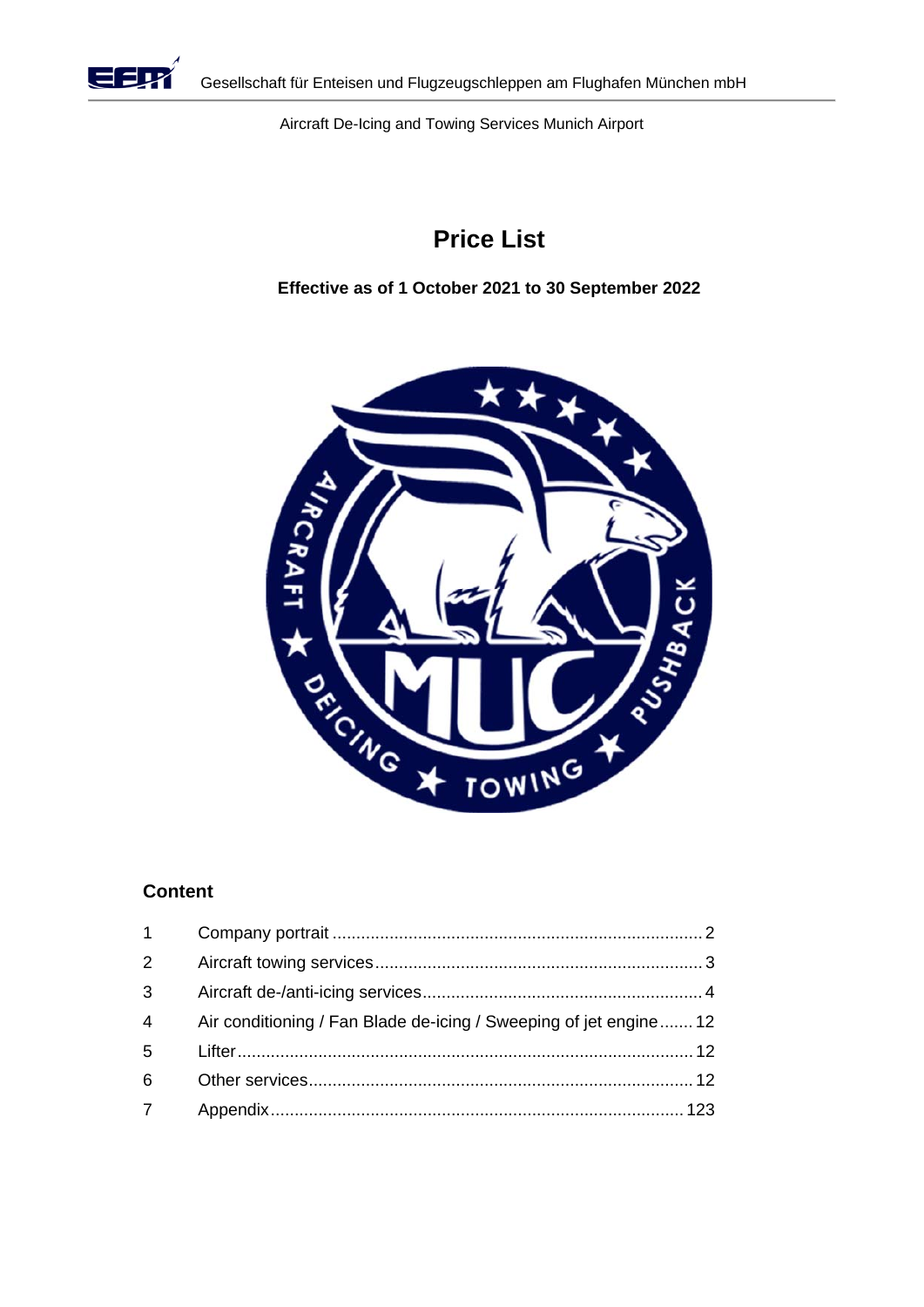

Aircraft De-Icing and Towing Services Munich Airport

# **Price List**

**Effective as of 1 October 2021 to 30 September 2022** 



# **Content**

| $1 \quad$      |                                                                   |
|----------------|-------------------------------------------------------------------|
| 2 <sup>1</sup> |                                                                   |
| 3              |                                                                   |
| $\overline{4}$ | Air conditioning / Fan Blade de-icing / Sweeping of jet engine 12 |
| 5              |                                                                   |
| 6              |                                                                   |
| $\overline{7}$ |                                                                   |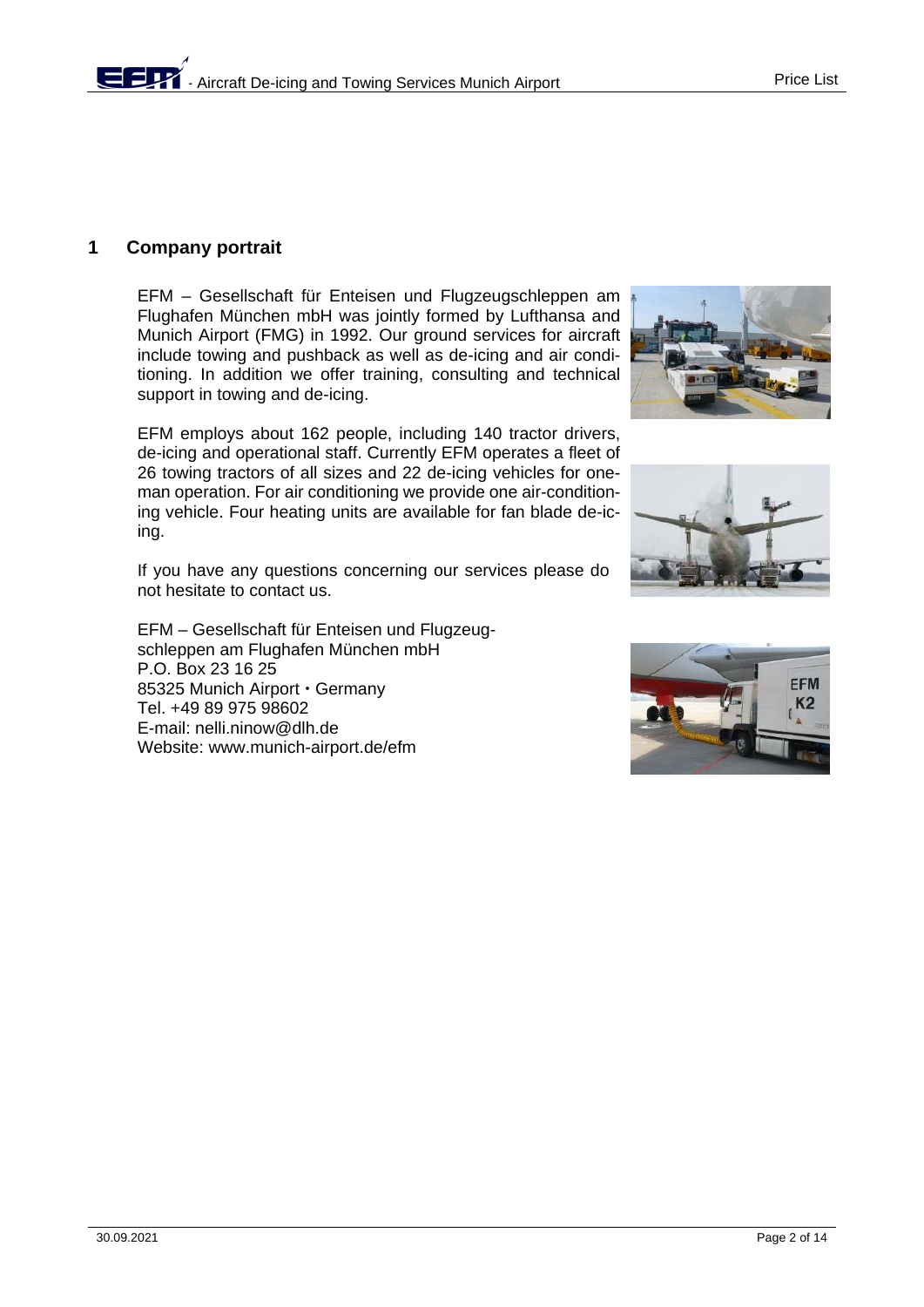# **1 Company portrait**

EFM – Gesellschaft für Enteisen und Flugzeugschleppen am Flughafen München mbH was jointly formed by Lufthansa and Munich Airport (FMG) in 1992. Our ground services for aircraft include towing and pushback as well as de-icing and air conditioning. In addition we offer training, consulting and technical support in towing and de-icing.

EFM employs about 162 people, including 140 tractor drivers, de-icing and operational staff. Currently EFM operates a fleet of 26 towing tractors of all sizes and 22 de-icing vehicles for oneman operation. For air conditioning we provide one air-conditioning vehicle. Four heating units are available for fan blade de-icing.

If you have any questions concerning our services please do not hesitate to contact us.

EFM – Gesellschaft für Enteisen und Flugzeugschleppen am Flughafen München mbH P.O. Box 23 16 25 85325 Munich Airport · Germany Tel. +49 89 975 98602 E-mail: nelli.ninow@dlh.de Website: www.munich-airport.de/efm





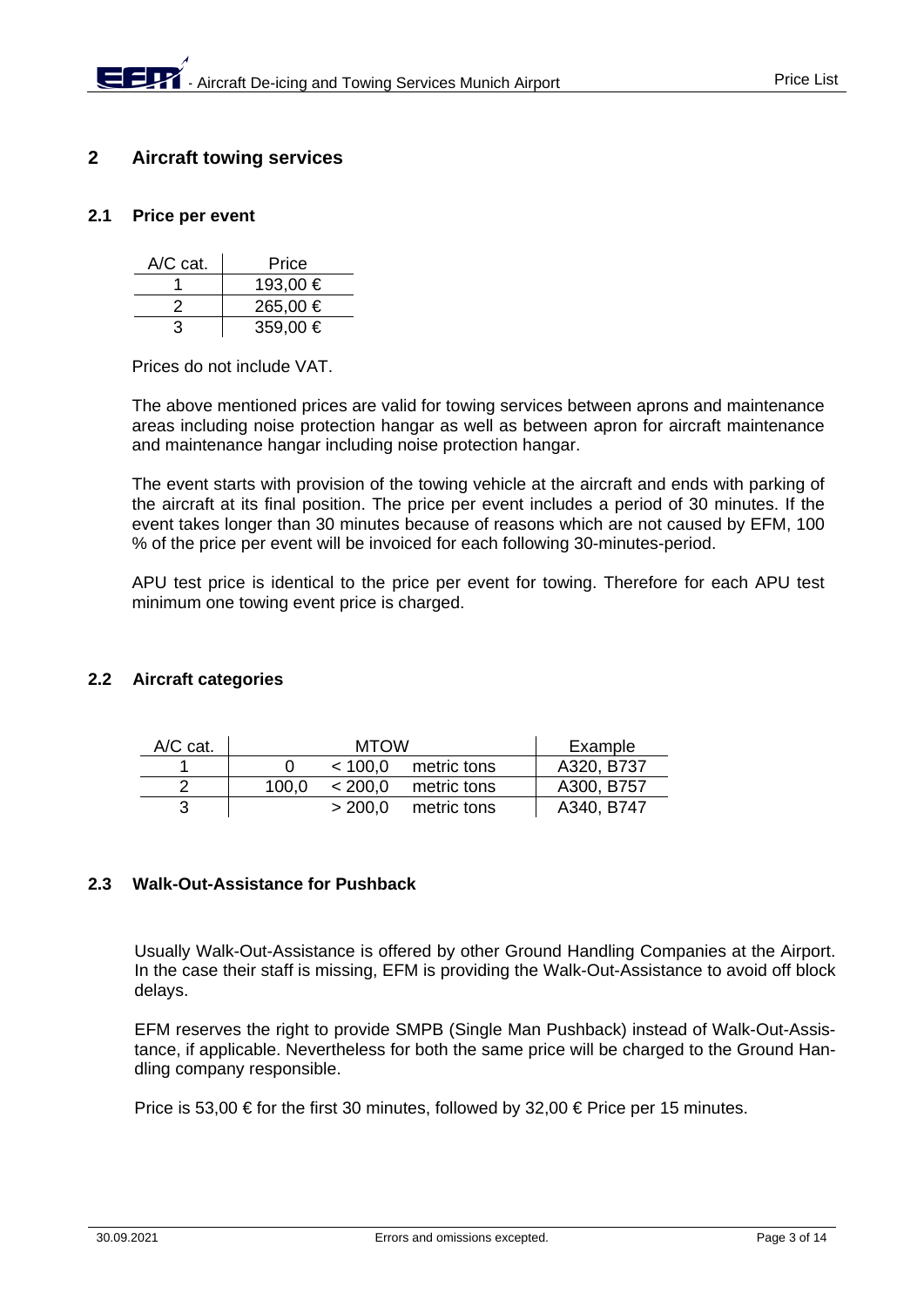# **2 Aircraft towing services**

## **2.1 Price per event**

| $A/C$ cat. | Price    |
|------------|----------|
|            | 193,00 € |
| ン          | 265,00 € |
| З          | 359,00 € |

Prices do not include VAT.

The above mentioned prices are valid for towing services between aprons and maintenance areas including noise protection hangar as well as between apron for aircraft maintenance and maintenance hangar including noise protection hangar.

The event starts with provision of the towing vehicle at the aircraft and ends with parking of the aircraft at its final position. The price per event includes a period of 30 minutes. If the event takes longer than 30 minutes because of reasons which are not caused by EFM, 100 % of the price per event will be invoiced for each following 30-minutes-period.

APU test price is identical to the price per event for towing. Therefore for each APU test minimum one towing event price is charged.

### **2.2 Aircraft categories**

| $A/C$ cat. |       | Example |             |            |
|------------|-------|---------|-------------|------------|
|            |       | < 100.0 | metric tons | A320, B737 |
| າ          | 100.0 | < 200.0 | metric tons | A300, B757 |
|            |       | > 200.0 | metric tons | A340, B747 |

### **2.3 Walk-Out-Assistance for Pushback**

Usually Walk-Out-Assistance is offered by other Ground Handling Companies at the Airport. In the case their staff is missing, EFM is providing the Walk-Out-Assistance to avoid off block delays.

EFM reserves the right to provide SMPB (Single Man Pushback) instead of Walk-Out-Assistance, if applicable. Nevertheless for both the same price will be charged to the Ground Handling company responsible.

Price is 53,00  $\in$  for the first 30 minutes, followed by 32,00  $\in$  Price per 15 minutes.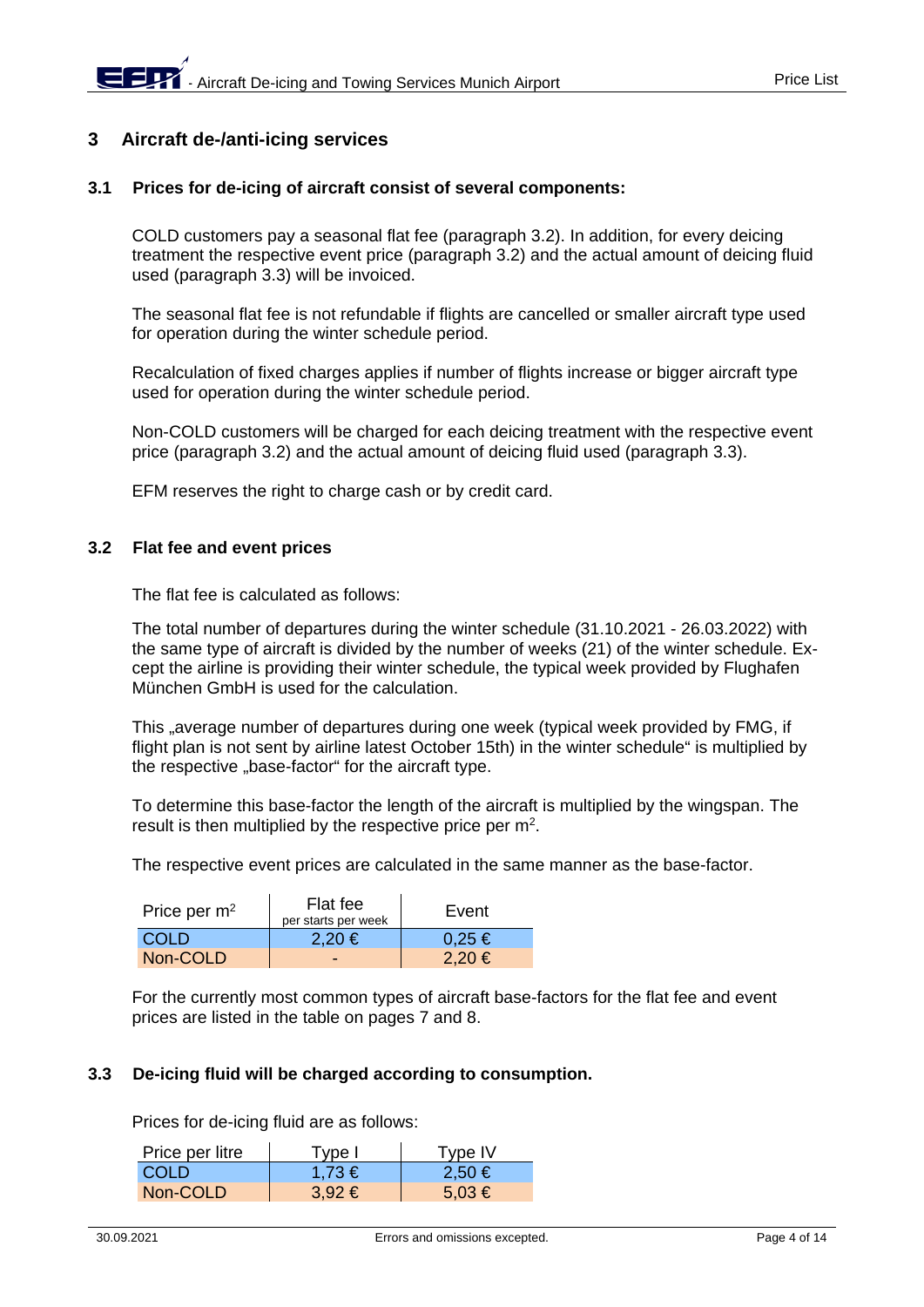# **3 Aircraft de-/anti-icing services**

### **3.1 Prices for de-icing of aircraft consist of several components:**

COLD customers pay a seasonal flat fee (paragraph 3.2). In addition, for every deicing treatment the respective event price (paragraph 3.2) and the actual amount of deicing fluid used (paragraph 3.3) will be invoiced.

The seasonal flat fee is not refundable if flights are cancelled or smaller aircraft type used for operation during the winter schedule period.

Recalculation of fixed charges applies if number of flights increase or bigger aircraft type used for operation during the winter schedule period.

Non-COLD customers will be charged for each deicing treatment with the respective event price (paragraph 3.2) and the actual amount of deicing fluid used (paragraph 3.3).

EFM reserves the right to charge cash or by credit card.

### **3.2 Flat fee and event prices**

The flat fee is calculated as follows:

The total number of departures during the winter schedule (31.10.2021 - 26.03.2022) with the same type of aircraft is divided by the number of weeks (21) of the winter schedule. Except the airline is providing their winter schedule, the typical week provided by Flughafen München GmbH is used for the calculation.

This "average number of departures during one week (typical week provided by FMG, if flight plan is not sent by airline latest October 15th) in the winter schedule" is multiplied by the respective "base-factor" for the aircraft type.

To determine this base-factor the length of the aircraft is multiplied by the wingspan. The result is then multiplied by the respective price per  $m<sup>2</sup>$ .

The respective event prices are calculated in the same manner as the base-factor.

| Price per $m2$ | Flat fee<br>per starts per week | Event      |  |  |
|----------------|---------------------------------|------------|--|--|
| COLD           | $2.20 \in$                      | $0,25 \in$ |  |  |
| Non-COLD       | -                               | $2.20 \in$ |  |  |

For the currently most common types of aircraft base-factors for the flat fee and event prices are listed in the table on pages 7 and 8.

### **3.3 De-icing fluid will be charged according to consumption.**

Prices for de-icing fluid are as follows:

| Price per litre | Type I     | Type IV    |
|-----------------|------------|------------|
| <b>COLD</b>     | $1.73 \in$ | $2,50 \in$ |
| Non-COLD        | $3,92 \in$ | $5,03 \in$ |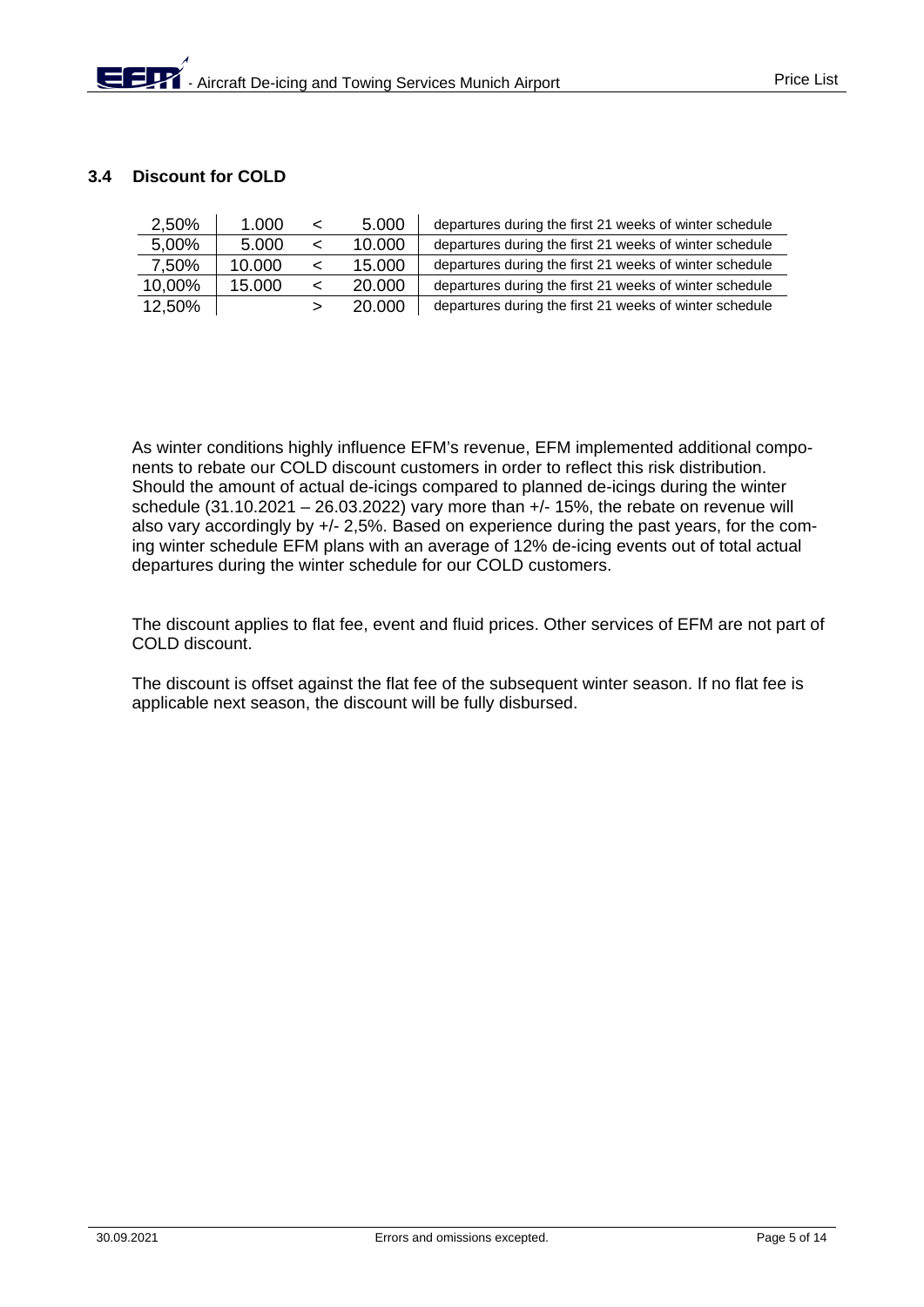## **3.4 Discount for COLD**

| 2,50%  | 1.000  |   | 5.000  | departures during the first 21 weeks of winter schedule |
|--------|--------|---|--------|---------------------------------------------------------|
| 5,00%  | 5.000  |   | 10.000 | departures during the first 21 weeks of winter schedule |
| 7.50%  | 10.000 |   | 15.000 | departures during the first 21 weeks of winter schedule |
| 10,00% | 15.000 | ≺ | 20,000 | departures during the first 21 weeks of winter schedule |
| 12,50% |        |   | 20,000 | departures during the first 21 weeks of winter schedule |

As winter conditions highly influence EFM's revenue, EFM implemented additional components to rebate our COLD discount customers in order to reflect this risk distribution. Should the amount of actual de-icings compared to planned de-icings during the winter schedule  $(31.10.2021 - 26.03.2022)$  vary more than  $+/- 15%$ , the rebate on revenue will also vary accordingly by +/- 2,5%. Based on experience during the past years, for the coming winter schedule EFM plans with an average of 12% de-icing events out of total actual departures during the winter schedule for our COLD customers.

The discount applies to flat fee, event and fluid prices. Other services of EFM are not part of COLD discount.

The discount is offset against the flat fee of the subsequent winter season. If no flat fee is applicable next season, the discount will be fully disbursed.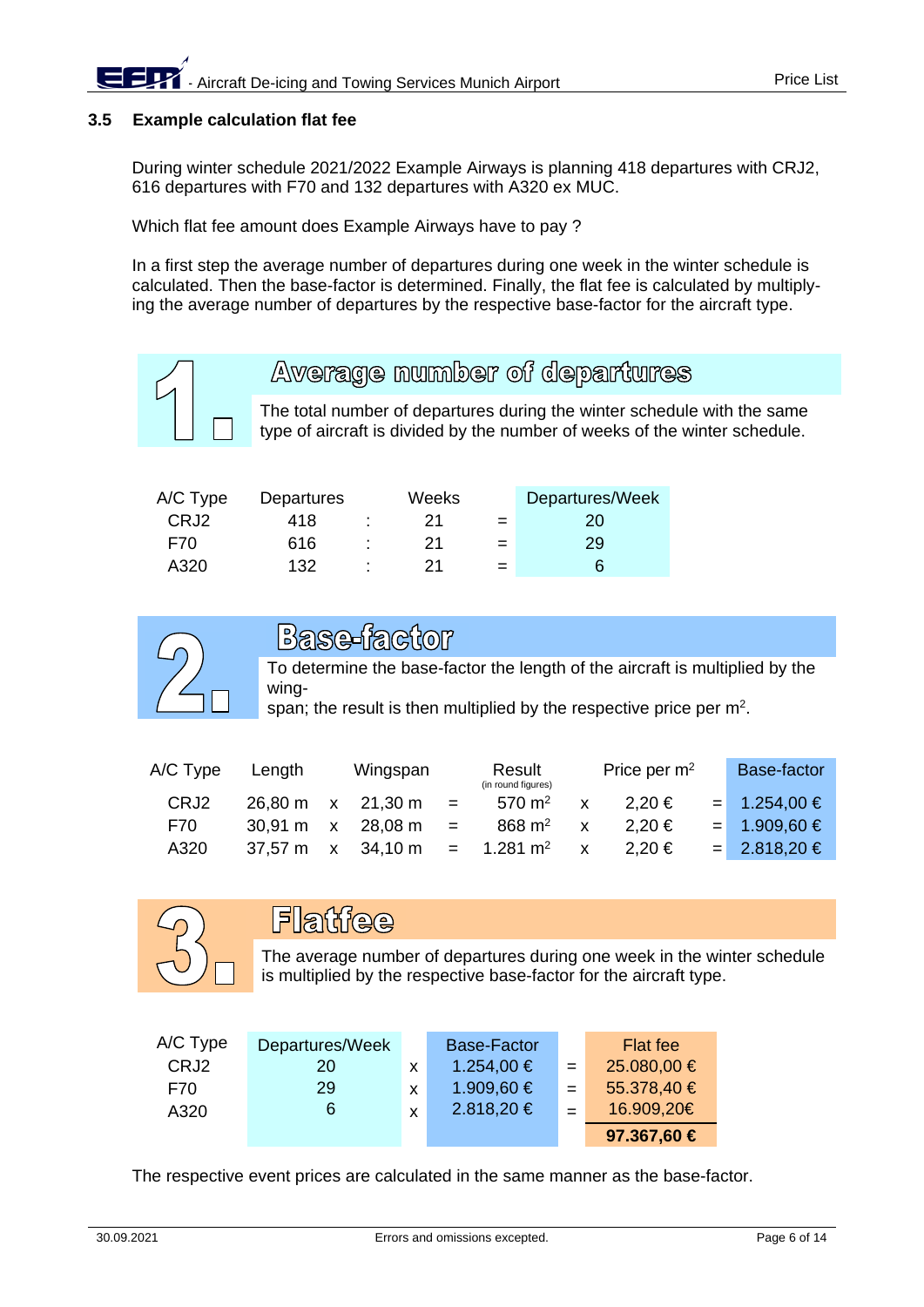## **3.5 Example calculation flat fee**

During winter schedule 2021/2022 Example Airways is planning 418 departures with CRJ2, 616 departures with F70 and 132 departures with A320 ex MUC.

Which flat fee amount does Example Airways have to pay ?

In a first step the average number of departures during one week in the winter schedule is calculated. Then the base-factor is determined. Finally, the flat fee is calculated by multiplying the average number of departures by the respective base-factor for the aircraft type.



# Average number of departures

The total number of departures during the winter schedule with the same type of aircraft is divided by the number of weeks of the winter schedule.

| A/C Type | Departures |    | Weeks |     | Departures/Week |
|----------|------------|----|-------|-----|-----------------|
| CRJ2     | 418        | ٠. | 21    | $=$ | 20              |
| F70      | 616        | ٠  | 21    | $=$ | 29              |
| A320     | 132        | ٠  | 21    | $=$ |                 |



# Base-factor

To determine the base-factor the length of the aircraft is multiplied by the wing-

span; the result is then multiplied by the respective price per m<sup>2</sup>.

| A/C Type         | Length            |              | Wingspan  |     | Result<br>(in round figures) |                           | Price per $m2$ | Base-factor      |
|------------------|-------------------|--------------|-----------|-----|------------------------------|---------------------------|----------------|------------------|
| CRJ <sub>2</sub> | $26.80 \text{ m}$ |              | x 21,30 m | $=$ | 570 $m2$                     | $\boldsymbol{\mathsf{x}}$ | $2.20 \in$     | $= 1.254,00 \in$ |
| F70              | $30.91 \text{ m}$ | $\mathbf{x}$ | 28,08 m   | $=$ | 868 $m2$                     |                           | $2.20 \in$     | $= 1.909,60 \in$ |
| A320             | $37.57 \text{ m}$ | $\mathbf{x}$ | 34,10 m   |     | $= 1.281 \text{ m}^2$        | $\mathsf{x}$              | $2,20 \in$     | $= 2.818,20 \in$ |



# Flatfee

The average number of departures during one week in the winter schedule is multiplied by the respective base-factor for the aircraft type.

| A/C Type | Departures/Week |          | <b>Base-Factor</b> |     | Flat fee    |
|----------|-----------------|----------|--------------------|-----|-------------|
| CRJ2     | 20              | x        | $1.254,00 \in$     | $=$ | 25.080,00 € |
| F70      | 29              | <b>X</b> | 1.909,60 €         | $=$ | 55.378,40 € |
| A320     | 6               | Y        | $2.818,20 \in$     |     | 16.909,20€  |
|          |                 |          |                    |     | 97.367,60 € |

The respective event prices are calculated in the same manner as the base-factor.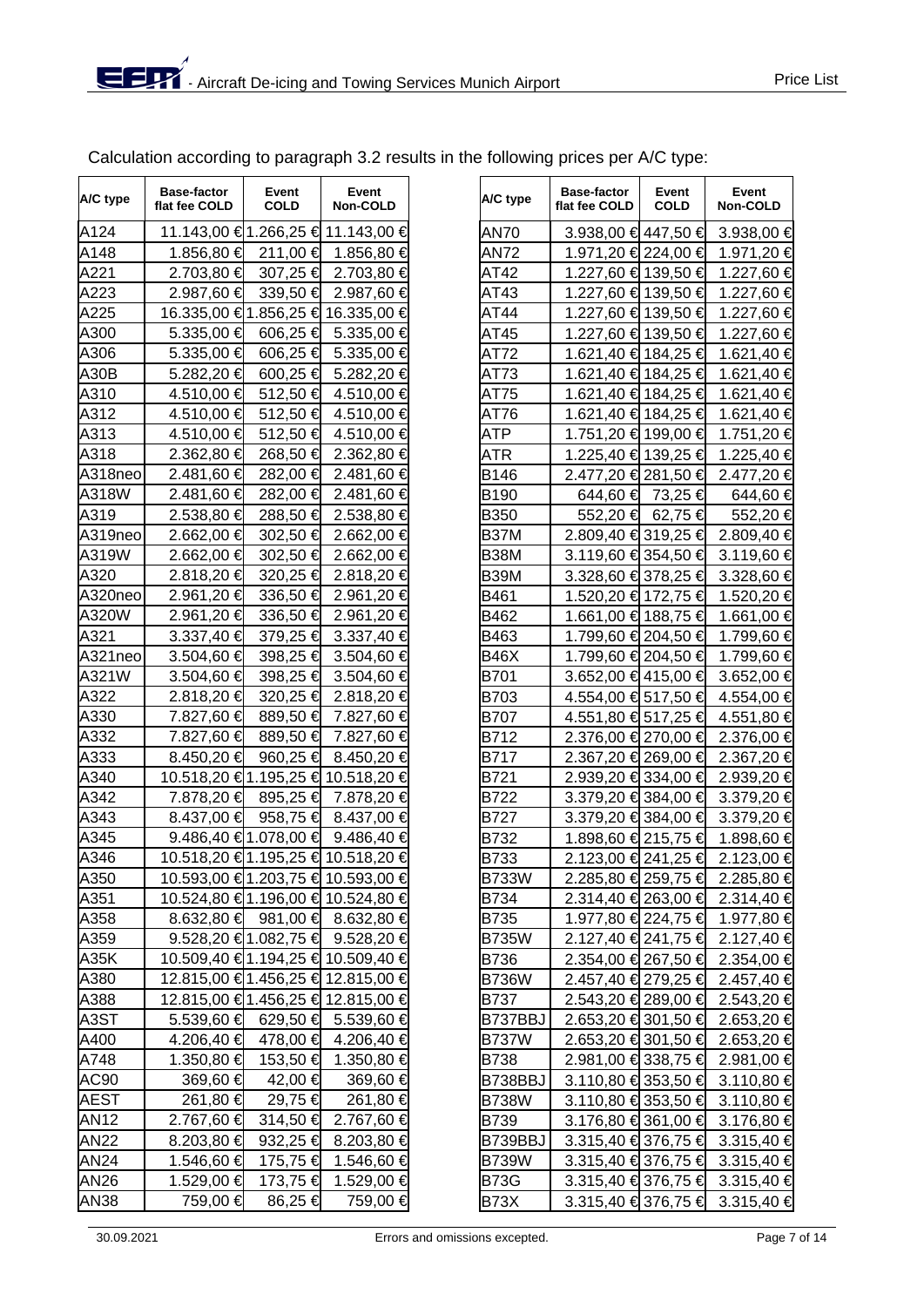| A/C type | Base-factor<br>flat fee COLD | Event<br><b>COLD</b> | Event<br>Non-COLD                 | A/C type    | <b>Base-factor</b><br>flat fee COLD | Event<br><b>COLD</b> | Event<br>Non-COLD |
|----------|------------------------------|----------------------|-----------------------------------|-------------|-------------------------------------|----------------------|-------------------|
| A124     |                              |                      | 11.143,00 €1.266,25 € 11.143,00 € | <b>AN70</b> | 3.938,00 € 447,50 €                 |                      | $3.938,00$ €      |
| A148     | 1.856,80 €                   | $211,00$ €           | 1.856,80 €                        | <b>AN72</b> | 1.971,20 € 224,00 €                 |                      | 1.971,20 €        |
| A221     | 2.703,80 €                   | 307,25 €             | 2.703,80 €                        | AT42        | 1.227,60 € 139,50 €                 |                      | 1.227,60 €        |
| A223     | 2.987,60 €                   | $339.50 \in$         | 2.987,60 €                        | AT43        | 1.227,60 € 139,50 €                 |                      | 1.227,60 €        |
| A225     |                              |                      | 16.335,00 €1.856,25 € 16.335,00 € | AT44        | 1.227,60 € 139,50 €                 |                      | 1.227,60 €        |

Calculation according to paragraph 3.2 results in the following prices per A/C type:

| A124         | 11.143,00 €1.266,25 € 11.143,00 €  |          |                                     | AN70         | 3.938,00 € 447,50 € 3.938,00 €             |                |
|--------------|------------------------------------|----------|-------------------------------------|--------------|--------------------------------------------|----------------|
| A148         | 1.856,80 € 211,00 € 1.856,80 €     |          |                                     | AN72         | 1.971,20 € 224,00 € 1.971,20 €             |                |
| A221         | 2.703,80 € 307,25 € 2.703,80 €     |          |                                     | AT42         | 1.227,60 € 139,50 € 1.227,60 €             |                |
| A223         | 2.987,60 € 339,50 € 2.987,60 €     |          |                                     | AT43         | 1.227,60 € 139,50 € 1.227,60 €             |                |
| A225         | 16.335,00 €1.856,25 € 16.335,00 €  |          |                                     | AT44         | 1.227,60 € 139,50 € 1.227,60 €             |                |
| A300         | 5.335,00 € 606,25 € 5.335,00 €     |          |                                     | AT45         | 1.227,60 € 139,50 € 1.227,60 €             |                |
| A306         | 5.335,00 € 606,25 € 5.335,00 €     |          |                                     | AT72         | 1.621,40 € 184,25 € 1.621,40 €             |                |
| A30B         | 5.282,20 € 600,25 € 5.282,20 €     |          |                                     | AT73         | 1.621,40 € 184,25 €                        | 1.621,40 €     |
| A310         | 4.510,00 € 512,50 € 4.510,00 €     |          |                                     | AT75         | 1.621,40 € 184,25 €                        | 1.621,40 €     |
| A312         | 4.510,00 € 512,50 € 4.510,00 €     |          |                                     | AT76         | 1.621,40 € 184,25 € 1.621,40 €             |                |
| A313         | 4.510,00 €                         |          | 512,50 € 4.510,00 €                 | ATP          | 1.751,20 € 199,00 €                        | 1.751,20 €     |
| A318         | 2.362,80 € 268,50 € 2.362,80 €     |          |                                     | ATR          | 1.225,40 € 139,25 € 1.225,40 €             |                |
| A318neo      | 2.481,60 € 282,00 € 2.481,60 €     |          |                                     | B146         | 2.477,20 € 281,50 €                        | 2.477,20 €     |
| A318W        | 2.481,60 € 282,00 € 2.481,60 €     |          |                                     | B190         | 644,60 € 73,25 €                           | 644,60 €       |
| A319         | 2.538,80 € 288,50 € 2.538,80 €     |          |                                     | <b>B350</b>  | 552,20 € 62,75 €                           | 552,20 €       |
| A319neo      | 2.662,00 € 302,50 € 2.662,00 €     |          |                                     | <b>B37M</b>  | 2.809,40 € 319,25 € 2.809,40 €             |                |
| A319W        | 2.662,00 € 302,50 € 2.662,00 €     |          |                                     | B38M         | 3.119,60 € 354,50 € 3.119,60 €             |                |
| A320         | 2.818,20 € 320,25 € 2.818,20 €     |          |                                     | B39M         | 3.328,60 € 378,25 € 3.328,60 €             |                |
| A320neo      | 2.961,20 € 336,50 € 2.961,20 €     |          |                                     | B461         | 1.520,20 € 172,75 € 1.520,20 €             |                |
| A320W        | 2.961,20 € 336,50 € 2.961,20 €     |          |                                     | B462         | 1.661,00 € 188,75 € 1.661,00 €             |                |
| A321         | 3.337,40 € 379,25 € 3.337,40 €     |          |                                     | B463         | 1.799,60 € 204,50 € 1.799,60 €             |                |
| A321neo      | 3.504,60 € 398,25 € 3.504,60 €     |          |                                     | <b>B46X</b>  | 1.799,60 € 204,50 €                        | 1.799,60 €     |
| A321W        | 3.504,60 € 398,25 € 3.504,60 €     |          |                                     | B701         | 3.652,00 €415,00 €                         | 3.652,00 €     |
| A322         | 2.818,20 € 320,25 € 2.818,20 €     |          |                                     | <b>B703</b>  | 4.554,00 € 517,50 €                        | 4.554,00 €     |
| A330         | 7.827,60 € 889,50 € 7.827,60 €     |          |                                     | <b>B707</b>  | 4.551,80 € 517,25 € 4.551,80 €             |                |
| A332         | 7.827,60 € 889,50 € 7.827,60 €     |          |                                     | B712         | 2.376,00 € 270,00 € 2.376,00 €             |                |
| A333         | 8.450,20 € 960,25 € 8.450,20 €     |          |                                     | <b>B717</b>  | 2.367,20 € 269,00 € 2.367,20 €             |                |
| A340         | 10.518,20 €1.195,25 € 10.518,20 €  |          |                                     | B721         | 2.939,20 € 334,00 € 2.939,20 €             |                |
| A342         | 7.878,20 € 895,25 € 7.878,20 €     |          |                                     | <b>B722</b>  | 3.379,20 € 384,00 € 3.379,20 €             |                |
| A343         | 8.437,00 € 958,75 € 8.437,00 €     |          |                                     | <b>B727</b>  | 3.379,20 € 384,00 € 3.379,20 €             |                |
| A345         | 9.486,40 € 1.078,00 € 9.486,40 €   |          |                                     | B732         | 1.898,60 € 215,75 € 1.898,60 €             |                |
| A346         | 10.518,20 € 1.195,25 € 10.518,20 € |          |                                     | B733         | 2.123,00 € 241,25 € 2.123,00 €             |                |
| A350         | 10.593,00 € 1.203,75 € 10.593,00 € |          |                                     | <b>B733W</b> | 2.285,80 € 259,75 € 2.285,80 €             |                |
| A351         | 10.524,80 € 1.196,00 € 10.524,80 € |          |                                     | <b>B734</b>  | 2.314,40 € 263,00 € 2.314,40 €             |                |
| A358         | 8.632,80 € 981,00 € 8.632,80 €     |          |                                     | <b>B735</b>  | 1.977,80 € 224,75 € 1.977,80 €             |                |
| A359         | 9.528,20 €1.082,75 € 9.528,20 €    |          |                                     | <b>B735W</b> | 2.127,40 € 241,75 €                        | 2.127,40 €     |
| A35K         | 10.509,40 €1.194,25 € 10.509,40 €  |          |                                     | <b>B736</b>  | 2.354,00 € 267,50 €                        | 2.354,00 €     |
| A380         | 12.815,00 €1.456,25 € 12.815,00 €  |          |                                     | <b>B736W</b> | 2.457,40 € 279,25 €                        | 2.457,40 €     |
| A388         | 12.815,00 € 1.456,25 € 12.815,00 € |          |                                     | B737         | 2.543,20 € 289,00 €                        | 2.543,20 €     |
| A3ST         | 5.539,60 €                         |          | 629,50 € 5.539,60 €                 | B737BBJ      | 2.653,20 € 301,50 €                        | 2.653,20 €     |
| A400         | 4.206,40 €                         | 478,00 € | 4.206,40 €                          | <b>B737W</b> | 2.653,20 € 301,50 €                        | 2.653,20 €     |
| A748         | 1.350,80 €                         |          | 153,50 € 1.350,80 €                 | <b>B738</b>  | 2.981,00 € 338,75 €                        | 2.981,00 €     |
| AC90         | 369,60 €                           | 42,00 €  | 369,60 €                            | B738BBJ      | 3.110,80 € 353,50 €                        | 3.110,80 €     |
| <b>AEST</b>  | 261,80 €                           | 29,75 €  | 261,80 €                            | <b>B738W</b> | 3.110,80 € 353,50 €                        | 3.110,80 €     |
| <b>AN12</b>  | 2.767,60 €                         | 314,50 € | 2.767,60 €                          | B739         | 3.176,80 € 361,00 €                        | 3.176,80 €     |
| <b>AN22</b>  | 8.203,80 €                         | 932,25 € | 8.203,80 €                          | B739BBJ      | 3.315,40 € 376,75 €                        | 3.315,40 €     |
| AN24         | 1.546,60 €                         | 175,75 € | 1.546,60 €                          | <b>B739W</b> | 3.315,40 € 376,75 €                        | $3.315,40 \in$ |
| <b>AN26</b>  | 1.529,00 € 173,75 € 1.529,00 €     |          |                                     | <b>B73G</b>  | 3.315,40 € 376,75 € 3.315,40 €             |                |
| <b>AN138</b> | 759 ∩∩ <del>⊈</del>                |          | $86.25 \in \mathbb{Z}$ 759.00 $\in$ | R73Y         | $3.315$ $10.6$ $376$ $75.6$ $3.315$ $10.6$ |                |

| A/C type | <b>Base-factor</b><br>flat fee COLD | Event<br><b>COLD</b> | Event<br>Non-COLD                      | A/C type     | <b>Base-factor</b><br>flat fee COLD | Event<br><b>COLD</b> | Event<br><b>Non-COLD</b> |
|----------|-------------------------------------|----------------------|----------------------------------------|--------------|-------------------------------------|----------------------|--------------------------|
| A124     |                                     |                      | 11.143,00 €1.266,25 € 11.143,00 €      | AN70         | $3.938,00 \in 447,50 \in$           |                      | 3.938,00 €               |
| A148     | 1.856,80 €                          | 211,00 €             | 1.856,80 €                             | AN72         | 1.971,20 € 224,00 €                 |                      | 1.971,20 €               |
| A221     | $2.703,80$ €                        | 307,25 €             | 2.703,80 €                             | AT42         | 1.227,60 € 139,50 €                 |                      | 1.227,60 €               |
| A223     | 2.987,60 €                          | 339,50 <del>€</del>  | 2.987,60 €                             | AT43         | 1.227,60 € 139,50 €                 |                      | 1.227,60 €               |
| A225     |                                     |                      | 16.335,00 €1.856,25 € 16.335,00 €      | AT44         | 1.227,60 € 139,50 €                 |                      | 1.227,60 €               |
| A300     | $5.335,00 \in$                      | 606,25 €             | 5.335,00 €                             | AT45         | 1.227,60 € 139,50 €                 |                      | 1.227,60 €               |
| A306     | $5.335,00 \in$                      | 606,25 €             | 5.335,00 €                             | AT72         | 1.621,40 € 184,25 €                 |                      | 1.621,40 €               |
| A30B     | 5.282,20 €                          | 600,25 €             | 5.282,20 €                             | AT73         | 1.621,40 € 184,25 €                 |                      | 1.621,40 €               |
| A310     | 4.510,00 €                          |                      | 512,50 € 4.510,00 €                    | AT75         | 1.621,40 € 184,25 €                 |                      | 1.621,40 €               |
| A312     | 4.510,00 €                          | 512,50 €             | 4.510,00 €                             | AT76         | 1.621,40 € 184,25 €                 |                      | 1.621,40 €               |
| A313     | 4.510,00 €                          | 512,50 €             | 4.510,00 €                             | ATP          | 1.751,20 € 199,00 €                 |                      | 1.751,20 €               |
| A318     | 2.362,80 €                          | 268,50 €             | 2.362,80 €                             | ATR          | 1.225,40 € 139,25 €                 |                      | 1.225,40 €               |
| A318neo  | 2.481,60 €                          | 282,00 €             | 2.481,60 €                             | B146         | 2.477,20 € 281,50 €                 |                      | 2.477,20 €               |
| A318W    | 2.481,60 €                          | 282,00 €             | 2.481,60 €                             | B190         |                                     | 644,60 € 73,25 €     | 644,60 €                 |
| A319     | 2.538,80 €                          | 288,50 €             | 2.538,80 €                             | <b>B350</b>  | 552,20 €                            | 62,75 €              | 552,20 €                 |
| A319neo  | 2.662,00 €                          | 302,50 €             | 2.662,00 €                             | <b>B37M</b>  | 2.809,40 € 319,25 €                 |                      | 2.809,40 €               |
| A319W    | $2.662,00 \in$                      | 302,50 €             | 2.662,00 €                             | <b>B38M</b>  | $3.119,60$ € 354,50 €               |                      | 3.119,60 €               |
| A320     | 2.818,20 €                          | 320,25 €             | 2.818,20 €                             | <b>B39M</b>  | 3.328,60 € 378,25 €                 |                      | 3.328,60 €               |
| A320neo  | 2.961,20 €                          | 336,50 €             | 2.961,20 €                             | B461         | 1.520,20 € 172,75 €                 |                      | 1.520,20 €               |
| A320W    | 2.961,20 €                          | 336,50 €             | 2.961,20 €                             | B462         | 1.661,00 € 188,75 €                 |                      | 1.661,00 €               |
| A321     |                                     |                      | 3.337,40 $\in$ 379,25 $\in$ 3.337,40 € | B463         | 1.799,60 € 204,50 €                 |                      | 1.799,60 €               |
| A321neo  | $3.504,60$ €                        |                      | 398,25 € 3.504,60 €                    | <b>B46X</b>  | 1.799,60 € 204,50 €                 |                      | 1.799,60 €               |
| A321W    | $3.504,60 \in$                      | 398,25 €             | 3.504,60 €                             | B701         | 3.652,00 € 415,00 €                 |                      | 3.652,00 €               |
| A322     | 2.818,20 €                          | 320,25 €             | 2.818,20 €                             | B703         | 4.554,00 € 517,50 €                 |                      | 4.554,00 €               |
| A330     | 7.827,60 €                          | 889,50 €             | 7.827,60 €                             | <b>B707</b>  | 4.551,80 € 517,25 €                 |                      | 4.551,80 €               |
| A332     | 7.827,60 €                          | 889,50 €             | 7.827,60 €                             | B712         | 2.376,00 € 270,00 €                 |                      | 2.376,00 €               |
| A333     | $8.450,20 \in$                      | 960,25 €             | 8.450,20 €                             | <b>B717</b>  | 2.367,20 € 269,00 €                 |                      | 2.367,20 €               |
| A340     |                                     |                      | 10.518,20 € 1.195,25 € 10.518,20 €     | B721         | 2.939,20 € 334,00 €                 |                      | 2.939,20 €               |
| A342     | 7.878,20 €                          | 895,25 €             | 7.878,20 €                             | <b>B722</b>  | 3.379,20 € 384,00 €                 |                      | 3.379,20 €               |
| A343     | $8.437,00 \in$                      |                      | 958,75 € 8.437,00 €                    | <b>B727</b>  | 3.379,20 € 384,00 €                 |                      | 3.379,20 €               |
| A345     |                                     |                      | 9.486,40 € 1.078,00 € 9.486,40 €       | B732         | 1.898,60 € 215,75 €                 |                      | 1.898,60 €               |
| A346     |                                     |                      | 10.518,20 €1.195,25 € 10.518,20 €      | B733         | 2.123,00 € 241,25 €                 |                      | 2.123,00 €               |
| A350     |                                     |                      | 10.593,00 €1.203,75 € 10.593,00 €      | <b>B733W</b> | 2.285,80 € 259,75 €                 |                      | 2.285,80 €               |
| A351     |                                     |                      | 10.524,80 €1.196,00 € 10.524,80 €      | B734         | $2.314,40 \in 263,00 \in$           |                      | 2.314,40 €               |
| A358     |                                     |                      | 8.632,80 € 981,00 € 8.632,80 €         | <b>B735</b>  | 1.977,80 € 224,75 €                 |                      | 1.977,80 €               |
| A359     |                                     |                      | 9.528,20 €1.082,75 € 9.528,20 €        | <b>B735W</b> | 2.127,40 € 241,75 €                 |                      | 2.127,40 €               |
| A35K     |                                     |                      | 10.509,40 €1.194,25 € 10.509,40 €      | <b>B736</b>  | 2.354,00 € 267,50 €                 |                      | 2.354,00 €               |
| A380     |                                     |                      | 12.815,00 €1.456,25 € 12.815,00 €      | <b>B736W</b> | 2.457,40 € 279,25 €                 |                      | 2.457,40 €               |
| A388     |                                     |                      | 12.815,00 €1.456,25 € 12.815,00 €      | <b>B737</b>  | 2.543,20 € 289,00 €                 |                      | 2.543,20 €               |
| A3ST     |                                     |                      | 5.539,60 € 629,50 € 5.539,60 €         | B737BBJ      | 2.653,20 € 301,50 €                 |                      | 2.653,20 €               |
| A400     | 4.206,40 €                          |                      | 478,00 € 4.206,40 €                    | <b>B737W</b> | 2.653,20 € 301,50 €                 |                      | 2.653,20 €               |
| A748     | $1.350,80 \in$                      | 153,50 €             | 1.350,80 €                             | <b>B738</b>  | 2.981,00 € 338,75 €                 |                      | 2.981,00 €               |
| AC90     | 369,60 €                            | 42,00 €              | 369,60 €                               | B738BBJ      | 3.110,80 € 353,50 €                 |                      | 3.110,80 €               |
| AEST     | 261,80 €                            | 29,75 €              | 261,80 €                               | <b>B738W</b> | 3.110,80 € 353,50 €                 |                      | $3.110,80 \in$           |
| AN12     | 2.767,60 €                          | 314,50 €             | 2.767,60 €                             | B739         | 3.176,80 € 361,00 €                 |                      | 3.176,80 €               |
| AN22     | 8.203,80 €                          | 932,25 €             | 8.203,80 €                             | B739BBJ      | 3.315,40 € 376,75 €                 |                      | 3.315,40 €               |
| AN24     | 1.546,60 €                          | 175,75 €             | 1.546,60 €                             | <b>B739W</b> | 3.315,40 € 376,75 €                 |                      | 3.315,40 €               |
| AN26     | 1.529,00 €                          | 173,75 €             | 1.529,00 €                             | <b>B73G</b>  | 3.315,40 € 376,75 €                 |                      | 3.315,40 €               |
| AN38     | 759,00 €                            | 86,25 €              | 759,00 €                               | <b>B73X</b>  | 3.315,40 € 376,75 €                 |                      | 3.315,40 €               |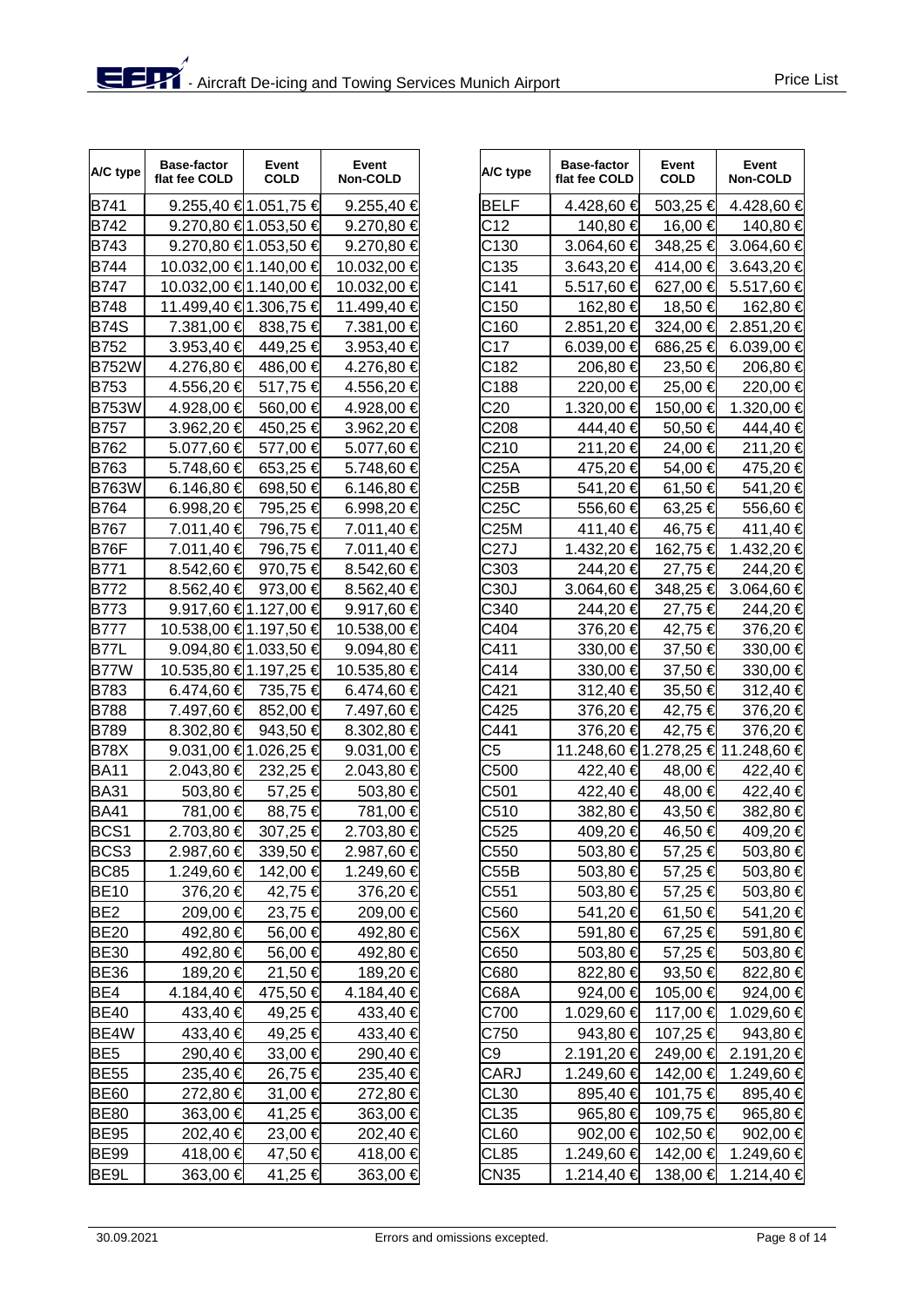| A/C type         | <b>Base-factor</b><br>flat fee COLD | Event<br><b>COLD</b> | Event<br>Non-COLD | A/C type    | <b>Base-factor</b><br>flat fee COLD | Event<br><b>COLD</b> | Event<br><b>Non-COLD</b>          |
|------------------|-------------------------------------|----------------------|-------------------|-------------|-------------------------------------|----------------------|-----------------------------------|
| B741             |                                     | 9.255,40 €1.051,75 € | 9.255,40 €        | <b>BELF</b> | 4.428,60 €                          | 503,25 €             | 4.428,60 €                        |
| B742             |                                     | 9.270,80 €1.053,50 € | 9.270,80 €        | C12         | 140,80 €                            | 16,00 €              | 140,80 €                          |
| <b>B743</b>      |                                     | 9.270,80 €1.053,50 € | 9.270,80 €        | C130        | 3.064,60 €                          | 348,25 €             | 3.064,60 €                        |
| <b>B744</b>      | 10.032,00 €1.140,00 €               |                      | 10.032,00 €       | C135        | 3.643,20 €                          | 414,00 €             | 3.643,20 €                        |
| <b>B747</b>      | 10.032,00 €1.140,00 €               |                      | 10.032,00 €       | C141        | 5.517,60 €                          | 627,00 €             | 5.517,60 €                        |
| <b>B748</b>      | 11.499,40 €1.306,75 €               |                      | 11.499,40 €       | C150        | 162,80 €                            | 18,50 €              | 162,80 €                          |
| <b>B74S</b>      | 7.381,00 €                          | 838,75 €             | 7.381,00 €        | C160        | 2.851,20 €                          | 324,00 €             | 2.851,20 €                        |
| <b>B752</b>      | $3.953,40 \in$                      | 449,25 €             | 3.953,40 €        | C17         | 6.039,00 €                          | 686,25 €             | 6.039,00 €                        |
| <b>B752W</b>     | 4.276,80 €                          | 486,00 €             | 4.276,80 €        | C182        | 206,80 €                            | 23,50 €              | 206,80 €                          |
| <b>B753</b>      | 4.556,20 €                          | 517,75 €             | 4.556,20 €        | C188        | 220,00 €                            | 25,00 €              | 220,00 €                          |
| <b>B753W</b>     | 4.928,00 €                          | 560,00 €             | 4.928,00 €        | C20         | 1.320,00 €                          | 150,00 €             | 1.320,00 €                        |
| <b>B757</b>      | 3.962,20 €                          | 450,25 €             | 3.962,20 €        | C208        | 444,40 €                            | 50,50 €              | 444,40 €                          |
| B762             | 5.077,60 €                          | 577,00 €             | 5.077,60 €        | C210        | 211,20 €                            | 24,00 €              | 211,20€                           |
| B763             | 5.748,60 €                          | 653,25 €             | 5.748,60 €        | C25A        | 475,20 €                            | 54,00 €              | 475,20€                           |
| <b>B763W</b>     | 6.146,80 €                          | 698,50 €             | 6.146,80 €        | C25B        | 541,20 €                            | 61,50 €              | 541,20 €                          |
| <b>B764</b>      | 6.998,20 €                          | 795,25 €             | 6.998,20 €        | C25C        | 556,60 €                            | 63,25 €              | 556,60 €                          |
| B767             | 7.011,40 €                          | 796,75 €             | 7.011,40 €        | C25M        | 411,40 €                            | 46,75 €              | 411,40 €                          |
| B76F             | 7.011,40 €                          | 796,75 €             | 7.011,40 €        | C27J        | 1.432,20 €                          | 162,75 €             | 1.432,20 €                        |
| B771             | 8.542,60 €                          | 970,75 €             | 8.542,60 €        | C303        | 244,20 €                            | 27,75 €              | 244,20€                           |
| <b>B772</b>      | 8.562,40 €                          | 973,00 €             | 8.562,40 €        | C30J        | 3.064,60 €                          | 348,25 €             | 3.064,60 €                        |
| <b>B773</b>      |                                     | 9.917,60 €1.127,00 € | 9.917,60 €        | C340        | 244,20 €                            | 27,75 €              | 244,20€                           |
| <b>B777</b>      | 10.538,00 €1.197,50 €               |                      | 10.538,00 €       | C404        | 376,20 €                            | 42,75 €              | 376,20€                           |
| <b>B77L</b>      |                                     | 9.094,80 €1.033,50 € | 9.094,80 €        | C411        | 330,00 €                            | 37,50 €              | 330,00 €                          |
| B77W             | 10.535,80 €1.197,25 €               |                      | 10.535,80 €       | C414        | 330,00 €                            | 37,50 €              | 330,00 €                          |
| B783             | 6.474,60 €                          | 735,75 €             | 6.474,60 €        | C421        | 312,40 €                            | 35,50 €              | 312,40 €                          |
| <b>B788</b>      | 7.497,60 €                          | 852,00 €             | 7.497,60 €        | C425        | 376,20 €                            | 42,75 €              | 376,20€                           |
| <b>B789</b>      | 8.302,80 €                          | 943,50 €             | 8.302,80 €        | C441        | 376,20 €                            | 42,75 €              | 376,20€                           |
| <b>B78X</b>      |                                     | 9.031,00 €1.026,25 € | 9.031,00 €        | C5          |                                     |                      | 11.248,60 €1.278,25 € 11.248,60 € |
| <b>BA11</b>      | 2.043,80 €                          | 232,25 €             | 2.043,80 €        | C500        | 422,40 €                            | 48,00 €              | 422,40 €                          |
| <b>BA31</b>      | 503,80 €                            | 57,25 €              | 503,80 €          | C501        | 422,40 €                            | 48,00 €              | 422,40 €                          |
| <b>BA41</b>      | 781,00 €                            | 88,75 €              | 781,00 €          | C510        | 382,80 €                            | 43,50 €              | 382,80 €                          |
| BCS <sub>1</sub> | 2.703,80 €                          | 307,25 €             | 2.703,80 €        | C525        | 409,20 €                            | 46,50 €              | 409,20 €                          |
| BCS3             | 2.987,60 €                          | 339,50 €             | 2.987,60 €        | C550        | 503,80 €                            | 57,25 €              | 503,80 €                          |
| <b>BC85</b>      | 1.249,60 €                          | 142,00 €             | 1.249,60 €        | C55B        | 503,80 €                            | 57,25 €              | 503,80 €                          |
| <b>BE10</b>      | 376,20 €                            | 42,75 €              | 376,20 €          | C551        | 503,80 €                            | 57,25 €              | 503,80 €                          |
| BE <sub>2</sub>  | 209,00 €                            | 23,75 €              | 209,00 €          | C560        | 541,20 €                            | 61,50 €              | 541,20 €                          |
| <b>BE20</b>      | 492,80 €                            | 56,00 €              | 492,80 €          | C56X        | 591,80 €                            | 67,25 €              | 591,80 €                          |
| <b>BE30</b>      | 492,80 €                            | 56,00 €              | 492,80 €          | C650        | 503,80 €                            | 57,25 €              | 503,80 €                          |
| <b>BE36</b>      | 189,20 €                            | 21,50 €              | 189,20 €          | C680        | 822,80 €                            | 93,50 €              | 822,80 €                          |
| BE4              | 4.184,40 €                          | 475,50 €             | 4.184,40 €        | C68A        | 924,00 €                            | 105,00 €             | 924,00 €                          |
| <b>BE40</b>      | 433,40 €                            | 49,25 €              | 433,40 €          | C700        | 1.029,60 €                          | 117,00 €             | 1.029,60 €                        |
| BE4W             | 433,40 €                            | 49,25 €              | 433,40 €          | C750        | 943,80 €                            | 107,25 €             | 943,80 €                          |
| BE <sub>5</sub>  | 290,40 €                            | 33,00 €              | 290,40 €          | C9          | 2.191,20 €                          | 249,00 €             | 2.191,20 €                        |
| <b>BE55</b>      | 235,40 €                            | 26,75 €              | 235,40 €          | CARJ        | 1.249,60 €                          | 142,00 €             | 1.249,60 €                        |
| <b>BE60</b>      | 272,80 €                            | 31,00 €              | 272,80 €          | CL30        | 895,40 €                            | 101,75 €             | 895,40 €                          |
| <b>BE80</b>      | 363,00 €                            | 41,25 €              | 363,00 €          | CL35        | 965,80 €                            | 109,75 €             | 965,80 €                          |
| <b>BE95</b>      | 202,40 €                            | 23,00 €              | 202,40 €          | CL60        | 902,00 €                            | 102,50 €             | 902,00 €                          |
| <b>BE99</b>      | 418,00 €                            | 47,50 €              | 418,00 €          | CL85        | 1.249,60 €                          | 142,00 €             | 1.249,60 €                        |
| BE9L             | 363,00 €                            | 41,25 €              | 363,00 €          | <b>CN35</b> | 1.214,40 €                          | 138,00 €             | 1.214,40 €                        |

| Event<br>Non-COLD | A/C type         | Base-factor<br>flat fee COLD | Event<br><b>COLD</b> | Event<br>Non-COLD                 |
|-------------------|------------------|------------------------------|----------------------|-----------------------------------|
| $9.255,40 \in$    | <b>BELF</b>      | 4.428,60 €                   | $503,25 \in$         | 4.428,60 €                        |
| 9.270,80 €        | C12              | 140,80 €                     | 16,00 €              | 140,80 €                          |
| 9.270,80 €        | C130             | 3.064,60 €                   | 348,25 €             | 3.064,60 €                        |
| 10.032,00 €       | C135             | 3.643,20 €                   | 414,00 €             | 3.643,20 €                        |
| 10.032,00 €       | C141             | 5.517,60 €                   | 627,00 €             | 5.517,60 €                        |
| 11.499,40 €       | C150             | 162,80 €                     | 18,50 €              | 162,80 €                          |
| 7.381,00 €        | C <sub>160</sub> | 2.851,20 €                   | 324,00 €             | 2.851,20 €                        |
| 3.953,40 €        | C17              | 6.039,00 €                   | 686,25 €             | 6.039,00 €                        |
| 4.276,80 €        | C182             | 206,80 €                     | 23,50 €              | 206,80 €                          |
| 4.556,20 €        | C188             | 220,00 €                     | 25,00 €              | 220,00 €                          |
| 4.928,00 €        | C <sub>20</sub>  | 1.320,00 €                   | 150,00 €             | 1.320,00 €                        |
| 3.962,20 €        | C208             | 444,40 €                     | 50,50 €              | 444,40 €                          |
| 5.077,60 €        | C210             | 211,20 €                     | 24,00 €              | 211,20 €                          |
| 5.748,60 €        | C <sub>25A</sub> | 475,20 €                     | 54,00 €              | 475,20 €                          |
| 6.146,80 €        | C25B             | 541,20 €                     | 61,50 €              | 541,20 €                          |
| 6.998,20 €        | C25C             | 556,60 €                     | 63,25 €              | 556,60 €                          |
| 7.011,40 €        | C25M             | 411,40 €                     | 46,75 €              | 411,40 €                          |
| 7.011,40 €        | C27J             | 1.432,20 €                   | 162,75 €             | 1.432,20 €                        |
| 8.542,60 €        | C303             | 244,20 €                     | 27,75 €              | 244,20 €                          |
| 8.562,40 €        | C30J             | 3.064,60 €                   | 348,25 €             | 3.064,60 €                        |
| 9.917,60 €        | C340             | 244,20 €                     | 27,75 €              | 244,20 €                          |
| 10.538,00 €       | C404             | 376,20 €                     | 42,75 €              | 376,20 €                          |
| 9.094,80 €        | C411             | 330,00 €                     | 37,50 €              | 330,00 €                          |
| 10.535,80 €       | C414             | 330,00 €                     | 37,50 €              | 330,00 €                          |
| 6.474,60 €        | C421             | 312,40 €                     | 35,50 €              | 312,40 €                          |
| 7.497,60 €        | C425             | 376,20 €                     | 42,75 €              | 376,20 €                          |
| 8.302,80 €        | C441             | 376,20 €                     | 42,75 €              | 376,20 €                          |
| 9.031,00 €        | C5               |                              |                      | 11.248,60 €1.278,25 € 11.248,60 € |
|                   | C500             | 422,40 €                     | 48,00 €              | 422,40 €                          |
| 2.043,80 €        | C501             |                              | 48,00 €              |                                   |
| 503,80 €          | C510             | 422,40 €                     |                      | 422,40 €                          |
| 781,00 €          | C525             | 382,80 €                     | 43,50 €              | 382,80 €<br>409,20 €              |
| 2.703,80 €        |                  | 409,20 €                     | 46,50 €              |                                   |
| 2.987,60 €        | C550             | 503,80 €                     | 57,25 €              | 503,80 €                          |
| 1.249,60 €        | C55B             | 503,80 €                     | 57,25 €              | 503,80 €                          |
| 376,20 €          | C551             | 503,80 €                     | 57,25 €              | 503,80 €                          |
| 209,00 €          | C560             | 541,20 €                     | 61,50 €              | 541,20 €                          |
| 492,80 €          | C56X             | 591,80 €                     | 67,25 €              | 591,80 €                          |
| 492,80 €          | C650             | 503,80 €                     | 57,25 €              | 503,80 €                          |
| 189,20 €          | C680             | 822,80 €                     | 93,50 €              | 822,80 €                          |
| 4.184,40 €        | C68A             | 924,00 €                     | 105,00 €             | 924,00 €                          |
| 433,40 €          | C700             | 1.029,60 €                   | 117,00 €             | 1.029,60 €                        |
| 433,40 €          | C750             | 943,80 €                     | 107,25 €             | 943,80 €                          |
| 290,40 €          | C9               | 2.191,20 €                   | 249,00 €             | 2.191,20 €                        |
| 235,40 €          | CARJ             | 1.249,60 €                   | 142,00 €             | 1.249,60 €                        |
| 272,80 €          | CL30             | 895,40 €                     | 101,75 €             | 895,40 €                          |
| 363,00 €          | CL35             | 965,80 €                     | 109,75 €             | 965,80 €                          |
| 202,40 €          | CL60             | 902,00 €                     | 102,50 €             | 902,00 €                          |
| 418,00 €          | CL85             | 1.249,60 €                   | 142,00 €             | 1.249,60 €                        |
| 363,00 €          | CN35             | 1.214,40 €                   | 138,00 €             | 1.214,40 €                        |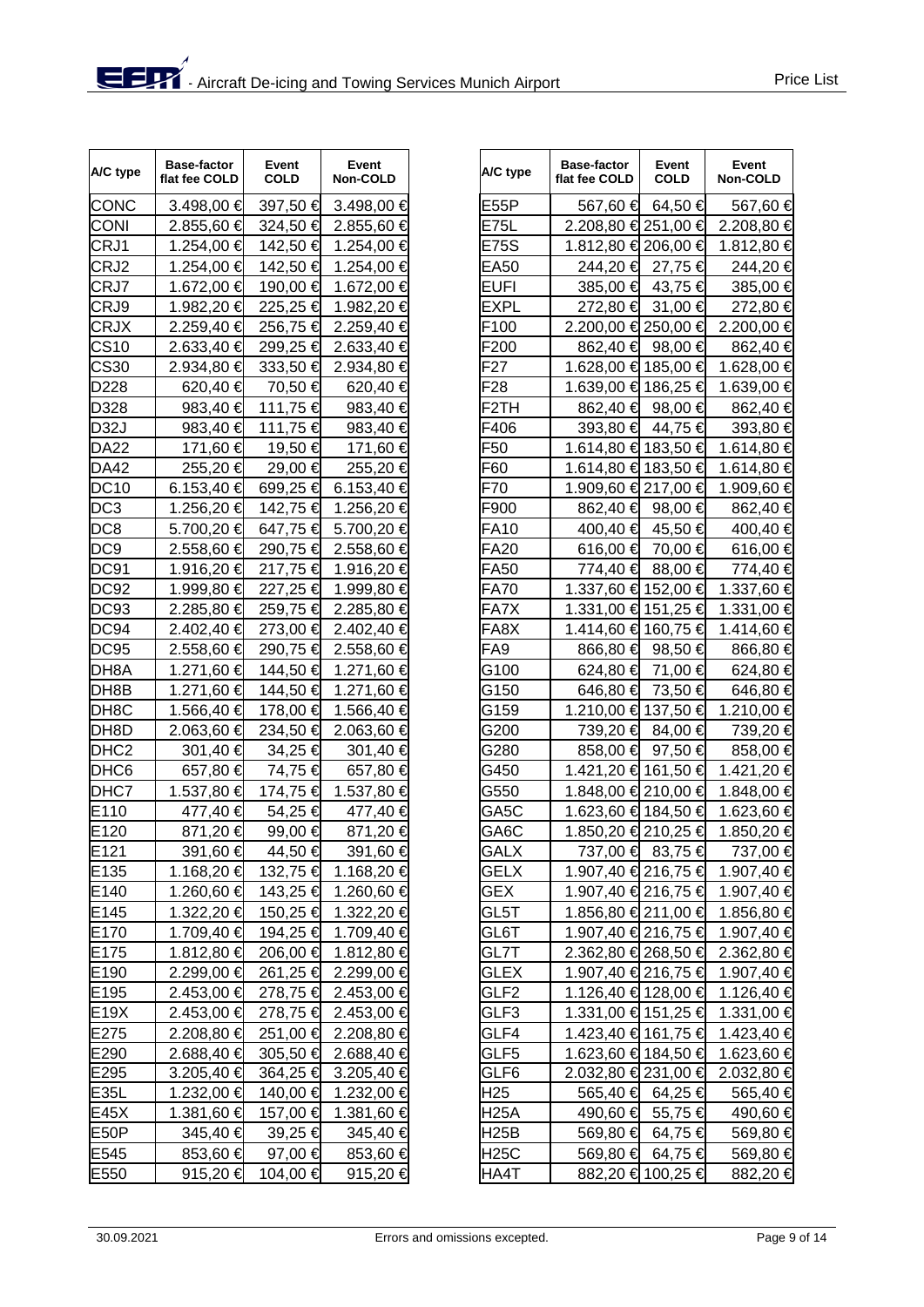| A/C type          | <b>Base-factor</b><br>flat fee COLD | Event<br><b>COLD</b> | Event<br>Non-COLD | A/C type         | <b>Base-factor</b><br>flat fee COLD | Event<br><b>COLD</b> | Event<br>Non-COLD |
|-------------------|-------------------------------------|----------------------|-------------------|------------------|-------------------------------------|----------------------|-------------------|
| CONC              | 3.498,00 €                          | 397,50 €             | 3.498,00 €        | E55P             | 567,60 €                            | 64,50 €              | 567,60 €          |
| <b>CONI</b>       | 2.855,60 €                          | 324,50 €             | 2.855,60 €        | E75L             | 2.208,80 € 251,00 €                 |                      | 2.208,80 €        |
| CRJ1              | 1.254,00 €                          | 142,50 €             | 1.254,00 €        | E75S             | 1.812,80 € 206,00 €                 |                      | 1.812,80 €        |
| CRJ2              | 1.254,00 €                          | 142,50 €             | 1.254,00 €        | EA50             | 244,20 €                            | 27,75 €              | 244,20€           |
| CRJ7              | 1.672,00 €                          | 190,00 €             | 1.672,00 €        | EUFI             | 385,00 €                            | 43,75 €              | 385,00 €          |
| CRJ9              | 1.982,20 €                          | 225,25 €             | 1.982,20 €        | EXPL             | 272,80 €                            | 31,00 €              | 272,80 €          |
| <b>CRJX</b>       | 2.259,40 €                          | 256,75 €             | 2.259,40 €        | F100             | 2.200,00 € 250,00 €                 |                      | 2.200,00 €        |
| <b>CS10</b>       | 2.633,40 €                          | 299,25 €             | 2.633,40 €        | F200             | 862,40 €                            | 98,00 $\in$          | 862,40 €          |
| <b>CS30</b>       | 2.934,80 €                          | 333,50 €             | 2.934,80 €        | F27              | 1.628,00 € 185,00 €                 |                      | 1.628,00 €        |
| D228              | 620,40 €                            | 70,50 €              | 620,40 €          | F28              | 1.639,00 € 186,25 €                 |                      | 1.639,00 €        |
| D328              | 983,40 $\in$                        | 111,75 €             | 983,40 €          | F2TH             | 862,40 €                            | 98,00 €              | 862,40 €          |
| <b>D32J</b>       | 983,40 €                            | 111,75 €             | 983,40 €          | F406             | 393,80 €                            | 44,75 €              | 393,80 €          |
| <b>DA22</b>       | 171,60 €                            | 19,50 €              | 171,60 €          | F50              | 1.614,80 € 183,50 €                 |                      | 1.614,80 €        |
| <b>DA42</b>       | 255,20 €                            | 29,00 €              | 255,20€           | F60              | 1.614,80 € 183,50 €                 |                      | 1.614,80 €        |
| <b>DC10</b>       | 6.153,40 €                          | 699,25 €             | 6.153,40 €        | F70              | 1.909,60 € 217,00 €                 |                      | 1.909,60 €        |
| DC <sub>3</sub>   | 1.256,20 €                          | 142,75 €             | 1.256,20 €        | F900             | 862,40 €                            | 98,00 €              | 862,40 €          |
| DC <sub>8</sub>   | 5.700,20 €                          | 647,75 €             | 5.700,20 €        | FA10             | 400,40 €                            | 45,50 €              | 400,40 €          |
| DC <sub>9</sub>   | 2.558,60 €                          | 290,75 €             | 2.558,60 €        | FA20             | 616,00 €                            | 70,00 €              | 616,00 €          |
| DC91              | 1.916,20 €                          | 217,75 €             | 1.916,20 €        | FA50             | 774,40 €                            | 88,00 €              | 774,40 €          |
| <b>DC92</b>       | 1.999,80 €                          | 227,25 €             | 1.999,80 €        | FA70             | 1.337,60 € 152,00 €                 |                      | 1.337,60 €        |
| <b>DC93</b>       | 2.285,80 €                          | 259,75 €             | 2.285,80 €        | FA7X             | 1.331,00 € 151,25 €                 |                      | 1.331,00 €        |
| DC94              | 2.402,40 €                          | 273,00 €             | 2.402,40 €        | FA8X             | 1.414,60 € 160,75 €                 |                      | 1.414,60 €        |
| <b>DC95</b>       | 2.558,60 €                          | 290,75 €             | 2.558,60 €        | FA9              | 866,80 €                            | 98,50 €              | 866,80 €          |
| DH8A              | 1.271,60 €                          | 144,50 €             | 1.271,60 €        | G100             | 624,80 €                            | 71,00 €              | 624,80 €          |
| DH8B              | 1.271,60 €                          | 144,50 €             | 1.271,60 €        | G150             | 646,80 €                            | 73,50 €              | 646,80 €          |
| DH <sub>8</sub> C | 1.566,40 €                          | 178,00 €             | 1.566,40 €        | G159             | 1.210,00 € 137,50 €                 |                      | 1.210,00 €        |
| DH <sub>8</sub> D | 2.063,60 €                          | 234,50 €             | 2.063,60 €        | G200             | 739,20 €                            | 84,00 €              | 739,20 €          |
| DHC <sub>2</sub>  | 301,40 €                            | 34,25 €              | 301,40 €          | G280             | 858,00 €                            | 97,50 €              | 858,00 €          |
| DHC <sub>6</sub>  | 657,80 €                            | 74,75 €              | 657,80 €          | G450             | 1.421,20 € 161,50 €                 |                      | 1.421,20 €        |
| DHC7              | 1.537,80 €                          | 174,75 €             | 1.537,80 €        | G550             | 1.848,00 € 210,00 €                 |                      | 1.848,00 €        |
| E110              | 477,40 €                            | 54,25 €              | 477,40 €          | GA5C             | 1.623,60 € 184,50 €                 |                      | 1.623,60 €        |
| E <sub>120</sub>  | 871,20€                             | 99,00 €              | 871,20 €          | GA6C             | 1.850,20 € 210,25 €                 |                      | 1.850,20 €        |
| E121              | 391,60 €                            | 44,50 €              | 391,60 €          | GALX             |                                     | 737,00 € 83,75 €     | 737,00 €          |
| E135              | 1.168,20 €                          | 132,75 €             | 1.168,20 €        | <b>GELX</b>      | 1.907,40 € 216,75 €                 |                      | 1.907,40 €        |
| E140              | 1.260,60 €                          | 143,25 €             | 1.260,60 €        | <b>GEX</b>       | 1.907,40 € 216,75 €                 |                      | 1.907,40 €        |
| E145              | 1.322,20 €                          | 150,25 €             | 1.322,20 €        | GL5T             | 1.856,80 € 211,00 €                 |                      | 1.856,80 €        |
| E170              | 1.709,40 €                          | 194,25 €             | 1.709,40 €        | GL6T             | 1.907,40 € 216,75 €                 |                      | 1.907,40 €        |
| E175              | 1.812,80 €                          | 206,00 €             | 1.812,80 €        | GL7T             | 2.362,80 € 268,50 €                 |                      | 2.362,80 €        |
| E190              | 2.299,00 €                          | 261,25 €             | 2.299,00 €        | GLEX             | 1.907,40 € 216,75 €                 |                      | 1.907,40 €        |
| E195              | 2.453,00 €                          | 278,75 €             | 2.453,00 €        | GLF <sub>2</sub> | 1.126,40 € 128,00 €                 |                      | 1.126,40 €        |
| E19X              | $2.453,00$ €                        | 278,75 €             | 2.453,00 €        | GLF3             | 1.331,00 € 151,25 €                 |                      | 1.331,00 €        |
| E275              | 2.208,80 €                          | 251,00 €             | 2.208,80 €        | GLF4             | 1.423,40 € 161,75 €                 |                      | 1.423,40 €        |
| E290              | 2.688,40 €                          | 305,50 €             | 2.688,40 €        | GLF5             | 1.623,60 € 184,50 €                 |                      | 1.623,60 €        |
| E295              | 3.205,40 €                          | 364,25 €             | 3.205,40 €        | GLF6             | 2.032,80 € 231,00 €                 |                      | 2.032,80 €        |
| E35L              | 1.232,00 €                          | 140,00 €             | 1.232,00 €        | H25              | 565,40 €                            | 64,25 €              | 565,40 €          |
| E45X              | 1.381,60 €                          | 157,00 €             | 1.381,60 €        | <b>H25A</b>      | 490,60 €                            | 55,75 €              | 490,60 €          |
| E <sub>50</sub> P | 345,40 €                            | 39,25 €              | 345,40 €          | <b>H25B</b>      | 569,80 €                            | 64,75 €              | 569,80 €          |
| E545              | 853,60 €                            | 97,00 €              | 853,60 €          | <b>H25C</b>      | 569,80 €                            | 64,75 €              | 569,80 €          |
| E550              | 915,20 €                            | 104,00 €             | 915,20 €          | HA4T             |                                     | 882,20 € 100,25 €    | 882,20 €          |

| Event<br>Non-COLD | A/C type        | <b>Base-factor</b><br>flat fee COLD | Event<br><b>COLD</b> | Event<br>Non-COLD |
|-------------------|-----------------|-------------------------------------|----------------------|-------------------|
| 3.498,00 €        | E55P            | 567,60 €                            | 64,50 €              | 567,60 €          |
| 2.855,60 €        | E75L            | 2.208,80 € 251,00 €                 |                      | 2.208,80 €        |
| 1.254,00 €        | E75S            | 1.812,80 € 206,00 €                 |                      | 1.812,80 €        |
| 1.254,00 €        | EA50            | 244,20 €                            | 27,75 €              | 244,20 €          |
| 1.672,00 €        | EUFI            | 385,00 €                            | 43,75 €              | 385,00 €          |
| 1.982,20 €        | EXPL            | 272,80 €                            | 31,00 €              | 272,80 €          |
| 2.259,40 €        | F100            | 2.200,00 € 250,00 €                 |                      | 2.200,00 €        |
| 2.633,40 €        | F200            |                                     | 862,40 € 98,00 €     | 862,40 €          |
| 2.934,80 €        | F27             | 1.628,00 € 185,00 €                 |                      | 1.628,00 €        |
| 620,40 €          | F28             | 1.639,00 € 186,25 €                 |                      | 1.639,00 €        |
| 983,40 €          | F2TH            |                                     | 862,40 € 98,00 €     | 862,40 €          |
| 983,40 €          | F406            | 393,80 €                            | 44,75 €              | 393,80 €          |
| 171,60 €          | F50             | 1.614,80 € 183,50 €                 |                      | 1.614,80 €        |
| 255,20€           | F60             | 1.614,80 € 183,50 €                 |                      | 1.614,80 €        |
| 6.153,40 €        | F70             | 1.909,60 € 217,00 €                 |                      | 1.909,60 €        |
| 1.256,20 €        | F900            |                                     | 862,40 € 98,00 €     | 862,40 €          |
| 5.700,20 €        | FA10            |                                     | 400,40 € 45,50 €     | 400,40 €          |
| 2.558,60 €        | <b>FA20</b>     | 616,00 €                            | 70,00 €              | 616,00 €          |
| 1.916,20 €        | FA50            |                                     | 774,40 € 88,00 €     | 774,40 €          |
| 1.999,80 €        | <b>FA70</b>     | 1.337,60 € 152,00 €                 |                      | 1.337,60 €        |
| 2.285,80 €        | FA7X            | 1.331,00 € 151,25 €                 |                      | 1.331,00 €        |
| 2.402,40 €        | FA8X            | 1.414,60 € 160,75 €                 |                      | 1.414,60 €        |
| 2.558,60 €        | FA9             | 866,80 €                            | 98,50 €              | 866,80 €          |
| 1.271,60 €        | G100            | 624,80 €                            | 71,00 €              | 624,80 €          |
| 1.271,60 €        | G150            | 646,80 €                            | 73,50 €              | 646,80 €          |
| 1.566,40 €        | G159            | 1.210,00 € 137,50 €                 |                      | 1.210,00 €        |
| 2.063,60 €        | G200            | 739,20 €                            | 84,00 €              | 739,20 €          |
| 301,40 €          | G280            | 858,00 €                            | 97,50 €              | 858,00 €          |
| 657,80 €          | G450            | 1.421,20 € 161,50 €                 |                      | 1.421,20 €        |
| 1.537,80 €        | G550            | 1.848,00 € 210,00 €                 |                      | 1.848,00 €        |
| 477,40 €          | GA5C            | 1.623,60 € 184,50 €                 |                      | 1.623,60 €        |
| 871,20 €          | GA6C            | 1.850,20 € 210,25 €                 |                      | 1.850,20 €        |
| 391,60 €          | <b>GALX</b>     |                                     | 737,00 € 83,75 €     | 737,00 €          |
| 1.168,20 €        | GELX            | 1.907,40 € 216,75 €                 |                      | 1.907,40 €        |
| 1.260,60 €        | GEX             | 1.907,40 € 216,75 €                 |                      | 1.907,40 €        |
| 1.322,20 €        | GL5T            | 1.856,80 € 211,00 €                 |                      | 1.856,80 €        |
| 1.709,40 €        | GL6T            | 1.907,40 € 216,75 €                 |                      | 1.907,40 €        |
| 1.812,80 €        | GL7T            | 2.362,80 € 268,50 €                 |                      | 2.362,80 €        |
| 2.299,00 €        | GLEX            | 1.907,40 € 216,75 €                 |                      | 1.907,40 €        |
| 2.453,00 €        | GLF2            | 1.126,40 € 128,00 €                 |                      | 1.126,40 €        |
| 2.453,00 €        | GLF3            | 1.331,00 € 151,25 €                 |                      | 1.331,00 €        |
| 2.208,80 €        | GLF4            | 1.423,40 € 161,75 €                 |                      | 1.423,40 €        |
| 2.688,40 €        | GLF5            | 1.623,60 € 184,50 €                 |                      | 1.623,60 €        |
| 3.205,40 €        | GLF6            | 2.032,80 € 231,00 €                 |                      | 2.032,80 €        |
| 1.232,00 €        | H <sub>25</sub> |                                     | 565,40 € 64,25 €     | 565,40 €          |
| 1.381,60 €        | H25A            |                                     | 490,60 € 55,75 €     | 490,60 €          |
| 345,40 €          | H25B            |                                     | 569,80 € 64,75 €     | 569,80 €          |
| 853,60 €          | <b>H25C</b>     | 569,80 €                            | 64,75 €              | 569,80 €          |
| 915,20 €          | HA4T            |                                     | 882,20 € 100,25 €    | 882,20 €          |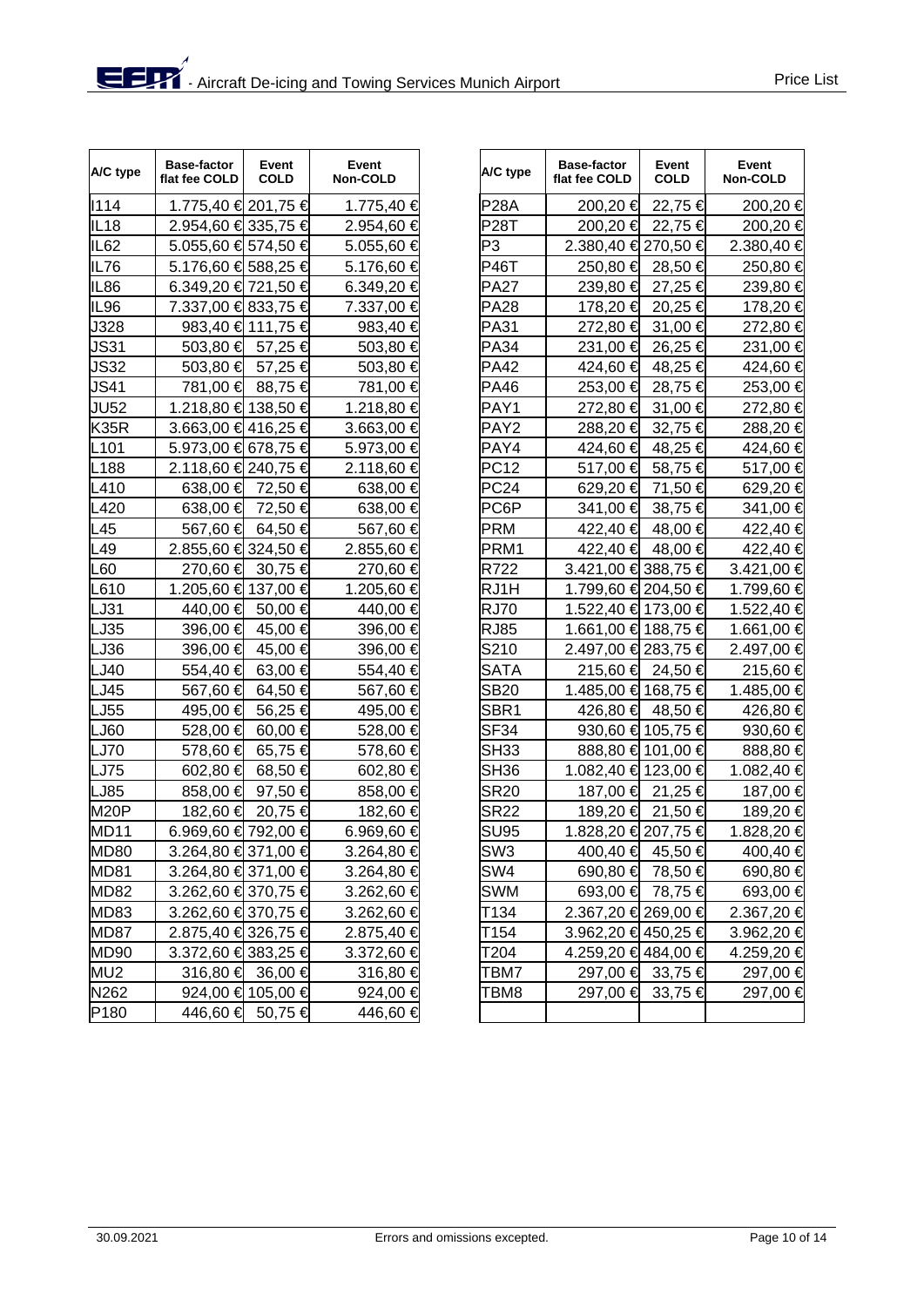| A/C type         | <b>Base-factor</b><br>flat fee COLD | Event<br><b>COLD</b> | Event<br>Non-COLD | A/C type         | <b>Base-factor</b><br>flat fee COLD | Event<br><b>COLD</b> | Event<br>Non-COLD |
|------------------|-------------------------------------|----------------------|-------------------|------------------|-------------------------------------|----------------------|-------------------|
| 1114             | 1.775,40 € 201,75 €                 |                      | 1.775,40 €        | <b>P28A</b>      | 200,20 €                            | 22,75 €              | 200,20 €          |
| <b>IL18</b>      | 2.954,60 € 335,75 €                 |                      | 2.954,60 €        | <b>P28T</b>      | 200,20 €                            | 22,75 €              | 200,20 €          |
| IL <sub>62</sub> | 5.055,60 € 574,50 €                 |                      | 5.055,60 €        | P3               | 2.380,40 € 270,50 €                 |                      | 2.380,40 €        |
| IL76             | 5.176,60 € 588,25 €                 |                      | 5.176,60 €        | <b>P46T</b>      | 250,80 €                            | 28,50 €              | 250,80 €          |
| <b>IL86</b>      | 6.349,20 € 721,50 €                 |                      | 6.349,20 €        | <b>PA27</b>      | 239,80 €                            | 27,25 €              | 239,80 €          |
| IL96             | 7.337,00 € 833,75 €                 |                      | 7.337,00 €        | <b>PA28</b>      | 178,20 €                            | 20,25 €              | 178,20 €          |
| J328             |                                     | 983,40 € 111,75 €    | 983,40 €          | <b>PA31</b>      | 272,80 €                            | 31,00 €              | 272,80 €          |
| <b>JS31</b>      | 503,80 €                            | 57,25 €              | 503,80 €          | <b>PA34</b>      | 231,00 €                            | 26,25 €              | 231,00 €          |
| <b>JS32</b>      | 503,80 €                            | 57,25 €              | 503,80 €          | <b>PA42</b>      | 424,60 €                            | 48,25 €              | 424,60 €          |
| <b>JS41</b>      | 781,00 €                            | 88,75 €              | 781,00 €          | <b>PA46</b>      | 253,00 €                            | 28,75 €              | 253,00 €          |
| <b>JU52</b>      | 1.218,80 € 138,50 €                 |                      | 1.218,80 €        | PAY1             | 272,80 €                            | 31,00 €              | 272,80 €          |
| <b>K35R</b>      | 3.663,00 €416,25 €                  |                      | 3.663,00 €        | PAY <sub>2</sub> | 288,20 €                            | 32,75 €              | 288,20€           |
| L <sub>101</sub> | 5.973,00 € 678,75 €                 |                      | 5.973,00 €        | PAY4             | 424,60 €                            | 48,25 €              | 424,60 €          |
| L188             | 2.118,60 € 240,75 €                 |                      | 2.118,60 €        | <b>PC12</b>      | 517,00 €                            | 58,75 €              | 517,00 €          |
| L410             |                                     | 638,00 € 72,50 €     | 638,00 €          | <b>PC24</b>      | 629,20 €                            | 71,50 €              | 629,20 €          |
| L420             | 638,00 €                            | 72,50 €              | 638,00 €          | PC6P             | 341,00 €                            | 38,75 €              | 341,00 €          |
| L45              | 567,60 €                            | 64,50 €              | 567,60 €          | <b>PRM</b>       | 422,40 €                            | 48,00 €              | 422,40 €          |
| L49              | 2.855,60 € 324,50 €                 |                      | 2.855,60 €        | PRM1             |                                     | 422,40 € 48,00 €     | 422,40 €          |
| L60              | 270,60 €                            | 30,75 €              | 270,60 €          | R722             | 3.421,00 € 388,75 €                 |                      | 3.421,00 €        |
| L610             | 1.205,60 € 137,00 €                 |                      | 1.205,60 €        | RJ1H             | 1.799,60 € 204,50 €                 |                      | 1.799,60 €        |
| LJ31             | 440,00 €                            | 50,00 €              | 440,00 €          | <b>RJ70</b>      | 1.522,40 € 173,00 €                 |                      | 1.522,40 €        |
| LJ35             | 396,00 €                            | 45,00 €              | 396,00 €          | <b>RJ85</b>      | 1.661,00 € 188,75 €                 |                      | 1.661,00 €        |
| LJ36             | 396,00 €                            | 45,00 €              | 396,00 €          | S210             | 2.497,00 € 283,75 €                 |                      | 2.497,00 €        |
| LJ40             | 554,40 €                            | 63,00 €              | 554,40 €          | <b>SATA</b>      |                                     | 215,60 € 24,50 €     | 215,60 €          |
| LJ45             | 567,60 €                            | 64,50 €              | 567,60 €          | <b>SB20</b>      | 1.485,00 € 168,75 €                 |                      | 1.485,00 €        |
| LJ55             | 495,00 €                            | 56,25 €              | 495,00 €          | SBR <sub>1</sub> | 426,80 €                            | 48,50 €              | 426,80 €          |
| LJ60             | 528,00 €                            | 60,00 €              | 528,00 €          | <b>SF34</b>      |                                     | 930,60 € 105,75 €    | 930,60 €          |
| LJ70             | 578,60 €                            | 65,75 €              | 578,60 €          | SH <sub>33</sub> |                                     | 888,80 € 101,00 €    | 888,80 €          |
| <b>LJ75</b>      | 602,80 €                            | 68,50 €              | 602,80 €          | SH <sub>36</sub> | 1.082,40 € 123,00 €                 |                      | 1.082,40 €        |
| <b>LJ85</b>      | 858,00 $\in$                        | 97,50 €              | 858,00 €          | <b>SR20</b>      |                                     | 187,00 € 21,25 €     | 187,00 €          |
| M20P             | 182,60 €                            | 20,75 €              | 182,60 €          | <b>SR22</b>      |                                     | 189,20 € 21,50 €     | 189,20 €          |
| MD11             | 6.969,60 € 792,00 €                 |                      | 6.969,60 €        | <b>SU95</b>      | 1.828,20 € 207,75 €                 |                      | 1.828,20 €        |
| <b>MD80</b>      | 3.264,80 € 371,00 €                 |                      | 3.264,80 €        | SW <sub>3</sub>  |                                     | 400,40 € 45,50 €     | 400,40 €          |
| <b>MD81</b>      | 3.264,80 € 371,00 €                 |                      | 3.264,80 €        | SW4              |                                     | 690,80 € 78,50 €     | 690,80 €          |
| <b>MD82</b>      | 3.262,60 € 370,75 €                 |                      | 3.262,60 €        | <b>SWM</b>       |                                     | 693,00 € 78,75 €     | 693,00 €          |
| MD83             | 3.262,60 € 370,75 €                 |                      | 3.262,60 €        | T134             | 2.367,20 € 269,00 €                 |                      | 2.367,20 €        |
| MD87             | 2.875,40 € 326,75 €                 |                      | 2.875,40 €        | T154             | 3.962,20 € 450,25 €                 |                      | 3.962,20 €        |
| <b>MD90</b>      | 3.372,60 € 383,25 €                 |                      | 3.372,60 €        | T204             | 4.259,20 € 484,00 €                 |                      | 4.259,20 €        |
| MU <sub>2</sub>  |                                     | 316,80 € 36,00 €     | 316,80 €          | TBM7             |                                     | 297,00 € 33,75 €     | 297,00 €          |
| N262             |                                     | 924,00 € 105,00 €    | 924,00 €          | TBM8             | 297,00 €                            | 33,75 €              | 297,00 €          |
| P180             | 446,60 €                            | 50,75 €              | 446,60 €          |                  |                                     |                      |                   |

| Event<br><b>Non-COLD</b> | A/C type         | <b>Base-factor</b><br>flat fee COLD | Event<br>COLD     | Event<br>Non-COLD |
|--------------------------|------------------|-------------------------------------|-------------------|-------------------|
| 1.775,40 €               | P28A             | 200,20 €                            | 22,75 €           | 200,20 €          |
| 2.954,60 €               | P28T             | 200,20 €                            | 22,75 €           | 200,20 €          |
| 5.055,60 €               | P3               | 2.380,40 € 270,50 €                 |                   | 2.380,40 €        |
| 5.176,60 €               | P46T             | 250,80 €                            | 28,50 €           | 250,80 €          |
| 6.349,20 €               | PA27             | 239,80 €                            | 27,25 €           | 239,80 €          |
| 7.337,00 €               | PA28             | 178,20 €                            | 20,25 €           | 178,20 €          |
| 983,40 €                 | <b>PA31</b>      | 272,80 €                            | 31,00 €           | 272,80 €          |
| 503,80 €                 | PA34             | 231,00 €                            | 26,25 €           | 231,00 €          |
| 503,80 €                 | <b>PA42</b>      | 424,60 €                            | 48,25 €           | 424,60 €          |
| 781,00 €                 | <b>PA46</b>      | 253,00 €                            | 28,75 €           | 253,00 €          |
| 1.218,80 €               | PAY1             | 272,80 €                            | 31,00 €           | 272,80 €          |
| 3.663,00 €               | PAY <sub>2</sub> | 288,20 €                            | 32,75 €           | 288,20 €          |
| 5.973,00 €               | PAY4             | 424,60 €                            | 48,25 €           | 424,60 €          |
| 2.118,60 €               | PC12             | 517,00 €                            | 58,75 €           | 517,00 €          |
| 638,00 €                 | <b>PC24</b>      | 629,20 €                            | 71,50 €           | 629,20 €          |
| 638,00 €                 | PC6P             | 341,00 €                            | 38,75 €           | 341,00 €          |
| 567,60 €                 | <b>PRM</b>       | 422,40 €                            | 48,00 €           | 422,40 €          |
| 2.855,60 €               | PRM1             | 422,40 €                            | 48,00 €           | 422,40 €          |
| 270,60 €                 | R722             | 3.421,00 € 388,75 €                 |                   | 3.421,00 €        |
| 1.205,60 €               | RJ1H             | 1.799,60 € 204,50 €                 |                   | 1.799,60 €        |
| 440,00 €                 | <b>RJ70</b>      | 1.522,40 € 173,00 €                 |                   | 1.522,40 €        |
| 396,00 €                 | <b>RJ85</b>      | 1.661,00 € 188,75 €                 |                   | 1.661,00 €        |
| 396,00 €                 | S210             | 2.497,00 € 283,75 €                 |                   | 2.497,00 €        |
| 554,40 €                 | <b>SATA</b>      | 215,60 €                            | 24,50 €           | 215,60 €          |
| 567,60 €                 | <b>SB20</b>      | 1.485,00 € 168,75 €                 |                   | 1.485,00 €        |
| 495,00 €                 | SBR1             | 426,80 €                            | 48,50 €           | 426,80 €          |
| 528,00 €                 | SF <sub>34</sub> |                                     | 930,60 € 105,75 € | 930,60 €          |
| 578,60 €                 | <b>SH33</b>      |                                     | 888,80 € 101,00 € | 888,80 €          |
| 602,80 €                 | <b>SH36</b>      | 1.082,40 € 123,00 €                 |                   | 1.082,40 €        |
| 858,00 €                 | <b>SR20</b>      |                                     | 187,00 € 21,25 €  | 187,00 €          |
| 182,60 €                 | SR22             |                                     | 189,20 € 21,50 €  | 189,20 €          |
| 6.969,60 €               | <b>SU95</b>      | 1.828,20 € 207,75 €                 |                   | 1.828,20 €        |
| 3.264,80 €               | SW <sub>3</sub>  | 400,40 €                            | 45,50 €           | 400,40 €          |
| 3.264,80 €               | SW4              | 690,80 €                            | 78,50 €           | 690,80 €          |
| 3.262,60 €               | SWM              | 693,00 €                            | 78,75 €           | 693,00 €          |
| 3.262,60 €               | T134             | 2.367,20 € 269,00 €                 |                   | 2.367,20 €        |
| 2.875,40 €               | T154             | 3.962,20 € 450,25 €                 |                   | 3.962,20€         |
| 3.372,60 €               | T204             | 4.259,20 € 484,00 €                 |                   | 4.259,20 €        |
| 316,80€                  | TBM7             | 297,00 €                            | 33,75 €           | 297,00 €          |
| 924,00 €                 | TBM8             | 297,00 €                            | 33,75 €           | 297,00 €          |
| 446,60 €                 |                  |                                     |                   |                   |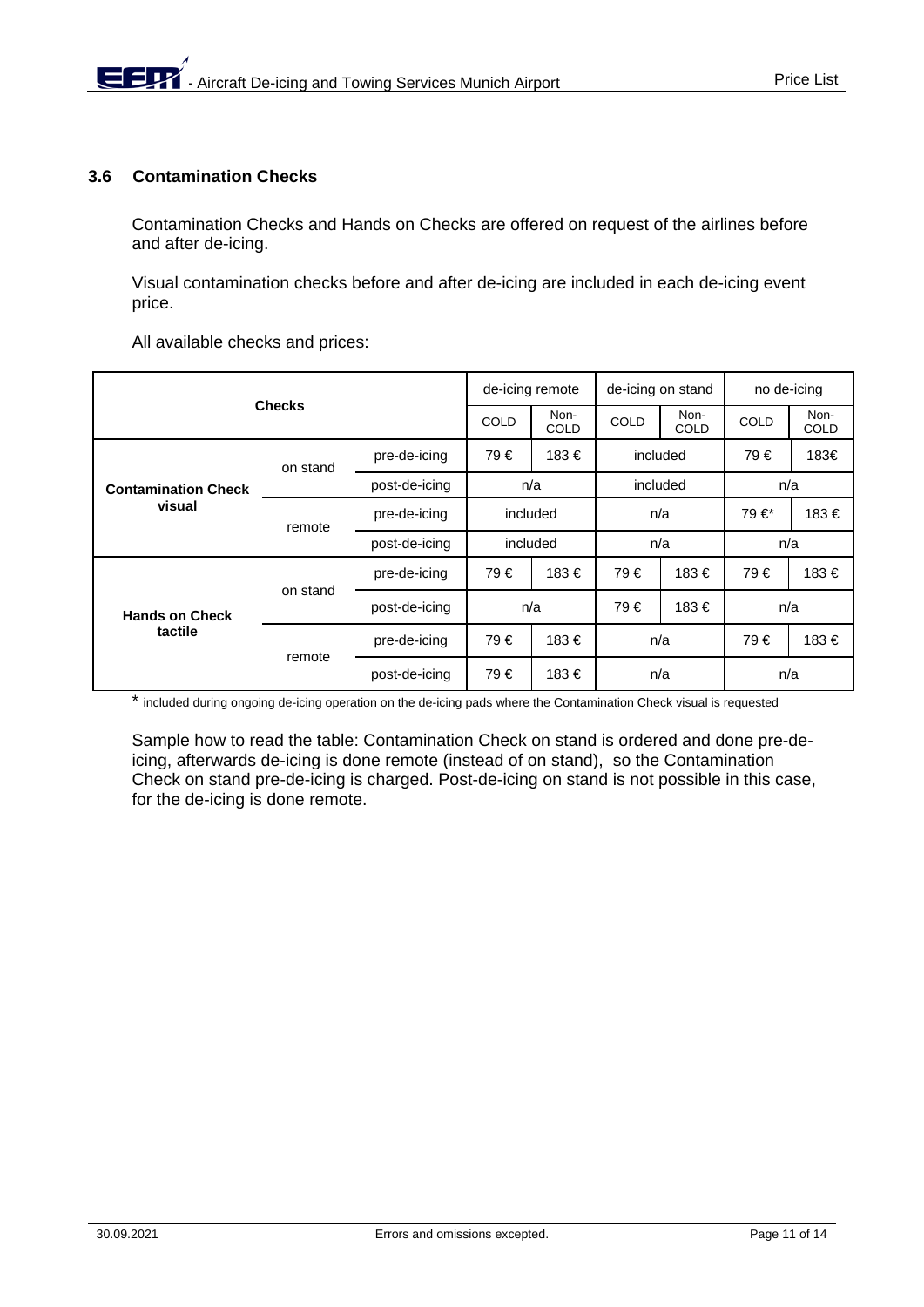## **3.6 Contamination Checks**

Contamination Checks and Hands on Checks are offered on request of the airlines before and after de-icing.

Visual contamination checks before and after de-icing are included in each de-icing event price.

All available checks and prices:

|                            | de-icing remote |                     | de-icing on stand |                     | no de-icing |                     |      |      |
|----------------------------|-----------------|---------------------|-------------------|---------------------|-------------|---------------------|------|------|
| <b>Checks</b>              | <b>COLD</b>     | Non-<br><b>COLD</b> | <b>COLD</b>       | Non-<br><b>COLD</b> | <b>COLD</b> | Non-<br><b>COLD</b> |      |      |
|                            | on stand        | pre-de-icing        | 79€               | 183€                | included    |                     | 79€  | 183€ |
| <b>Contamination Check</b> |                 | post-de-icing       | n/a               |                     | included    |                     | n/a  |      |
| visual                     | remote          | pre-de-icing        | included          |                     | n/a         |                     | 79€* | 183€ |
|                            |                 | post-de-icing       | included          |                     | n/a         |                     | n/a  |      |
|                            | on stand        | pre-de-icing        | 79€               | 183€                | 79€         | 183€                | 79€  | 183€ |
| <b>Hands on Check</b>      |                 | post-de-icing       | n/a               |                     | 79€         | 183€                | n/a  |      |
| tactile                    |                 | pre-de-icing        | 79€               | 183€                | n/a         |                     | 79€  | 183€ |
|                            | remote          | post-de-icing       | 79€               | 183€                | n/a         |                     | n/a  |      |

\* included during ongoing de-icing operation on the de-icing pads where the Contamination Check visual is requested

Sample how to read the table: Contamination Check on stand is ordered and done pre-deicing, afterwards de-icing is done remote (instead of on stand), so the Contamination Check on stand pre-de-icing is charged. Post-de-icing on stand is not possible in this case, for the de-icing is done remote.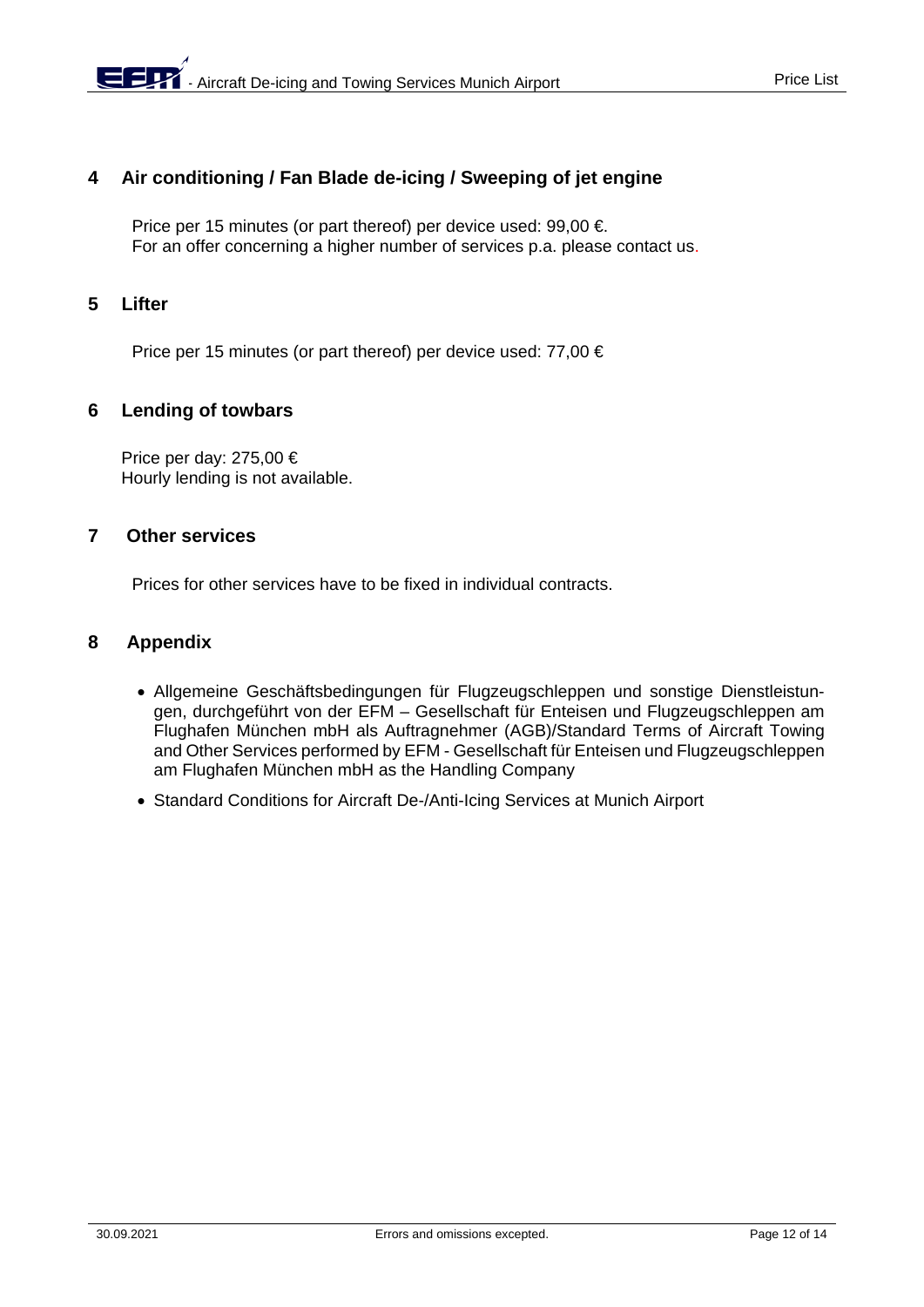# **4 Air conditioning / Fan Blade de-icing / Sweeping of jet engine**

Price per 15 minutes (or part thereof) per device used: 99,00 €. For an offer concerning a higher number of services p.a. please contact us.

# **5 Lifter**

Price per 15 minutes (or part thereof) per device used: 77,00 €

## **6 Lending of towbars**

Price per day: 275,00 € Hourly lending is not available.

# **7 Other services**

Prices for other services have to be fixed in individual contracts.

## **8 Appendix**

- Allgemeine Geschäftsbedingungen für Flugzeugschleppen und sonstige Dienstleistungen, durchgeführt von der EFM – Gesellschaft für Enteisen und Flugzeugschleppen am Flughafen München mbH als Auftragnehmer (AGB)/Standard Terms of Aircraft Towing and Other Services performed by EFM - Gesellschaft für Enteisen und Flugzeugschleppen am Flughafen München mbH as the Handling Company
- Standard Conditions for Aircraft De-/Anti-Icing Services at Munich Airport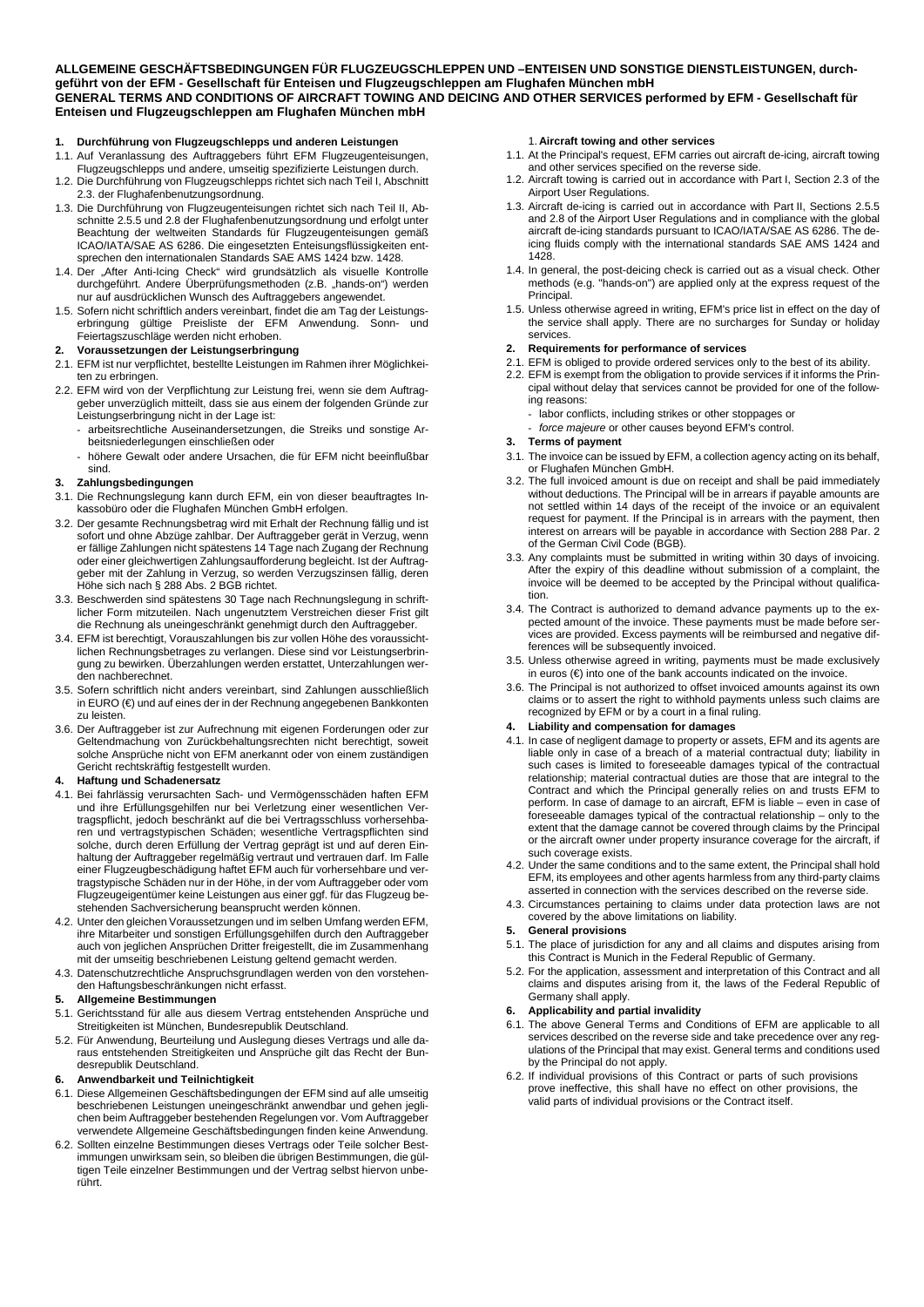**ALLGEMEINE GESCHÄFTSBEDINGUNGEN FÜR FLUGZEUGSCHLEPPEN UND –ENTEISEN UND SONSTIGE DIENSTLEISTUNGEN, durchgeführt von der EFM - Gesellschaft für Enteisen und Flugzeugschleppen am Flughafen München mbH GENERAL TERMS AND CONDITIONS OF AIRCRAFT TOWING AND DEICING AND OTHER SERVICES performed by EFM - Gesellschaft für Enteisen und Flugzeugschleppen am Flughafen München mbH**

#### **1. Durchführung von Flugzeugschlepps und anderen Leistungen**

- 1.1. Auf Veranlassung des Auftraggebers führt EFM Flugzeugenteisungen,
- Flugzeugschlepps und andere, umseitig spezifizierte Leistungen durch. 1.2. Die Durchführung von Flugzeugschlepps richtet sich nach Teil I, Abschnitt
- 2.3. der Flughafenbenutzungsordnung. 1.3. Die Durchführung von Flugzeugenteisungen richtet sich nach Teil II, Abschnitte 2.5.5 und 2.8 der Flughafenbenutzungsordnung und erfolgt unter Beachtung der weltweiten Standards für Flugzeugenteisungen gemäß ICAO/IATA/SAE AS 6286. Die eingesetzten Enteisungsflüssigkeiten entsprechen den internationalen Standards SAE AMS 1424 bzw. 1428.
- 1.4. Der "After Anti-Icing Check" wird grundsätzlich als visuelle Kontrolle durchgeführt. Andere Überprüfungsmethoden (z.B. "hands-on") werden nur auf ausdrücklichen Wunsch des Auftraggebers angewendet.
- 1.5. Sofern nicht schriftlich anders vereinbart, findet die am Tag der Leistungserbringung gültige Preisliste der EFM Anwendung. Sonn- und Feiertagszuschläge werden nicht erhoben.
- **2. Voraussetzungen der Leistungserbringung**
- 2.1. EFM ist nur verpflichtet, bestellte Leistungen im Rahmen ihrer Möglichkeiten zu erbringen.
- 2.2. EFM wird von der Verpflichtung zur Leistung frei, wenn sie dem Auftraggeber unverzüglich mitteilt, dass sie aus einem der folgenden Gründe zur Leistungserbringung nicht in der Lage ist:
	- arbeitsrechtliche Auseinandersetzungen, die Streiks und sonstige Arbeitsniederlegungen einschließen oder
	- höhere Gewalt oder andere Ursachen, die für EFM nicht beeinflußbar sind.

#### **3. Zahlungsbedingungen**

- 3.1. Die Rechnungslegung kann durch EFM, ein von dieser beauftragtes Inkassobüro oder die Flughafen München GmbH erfolgen.
- 3.2. Der gesamte Rechnungsbetrag wird mit Erhalt der Rechnung fällig und ist sofort und ohne Abzüge zahlbar. Der Auftraggeber gerät in Verzug, wenn er fällige Zahlungen nicht spätestens 14 Tage nach Zugang der Rechnung oder einer gleichwertigen Zahlungsaufforderung begleicht. Ist der Auftraggeber mit der Zahlung in Verzug, so werden Verzugszinsen fällig, deren Höhe sich nach § 288 Abs. 2 BGB richtet.
- 3.3. Beschwerden sind spätestens 30 Tage nach Rechnungslegung in schriftlicher Form mitzuteilen. Nach ungenutztem Verstreichen dieser Frist gilt die Rechnung als uneingeschränkt genehmigt durch den Auftraggeber.
- 3.4. EFM ist berechtigt, Vorauszahlungen bis zur vollen Höhe des voraussichtlichen Rechnungsbetrages zu verlangen. Diese sind vor Leistungserbringung zu bewirken. Überzahlungen werden erstattet, Unterzahlungen werden nachberechnet.
- 3.5. Sofern schriftlich nicht anders vereinbart, sind Zahlungen ausschließlich in EURO (€) und auf eines der in der Rechnung angegebenen Bankkonten zu leisten.
- 3.6. Der Auftraggeber ist zur Aufrechnung mit eigenen Forderungen oder zur Geltendmachung von Zurückbehaltungsrechten nicht berechtigt, soweit solche Ansprüche nicht von EFM anerkannt oder von einem zuständigen Gericht rechtskräftig festgestellt wurden.

#### **4. Haftung und Schadenersatz**

- 4.1. Bei fahrlässig verursachten Sach- und Vermögensschäden haften EFM und ihre Erfüllungsgehilfen nur bei Verletzung einer wesentlichen Vertragspflicht, jedoch beschränkt auf die bei Vertragsschluss vorhersehbaren und vertragstypischen Schäden; wesentliche Vertragspflichten sind solche, durch deren Erfüllung der Vertrag geprägt ist und auf deren Einhaltung der Auftraggeber regelmäßig vertraut und vertrauen darf. Im Falle einer Flugzeugbeschädigung haftet EFM auch für vorhersehbare und vertragstypische Schäden nur in der Höhe, in der vom Auftraggeber oder vom Flugzeugeigentümer keine Leistungen aus einer ggf. für das Flugzeug bestehenden Sachversicherung beansprucht werden können.
- 4.2. Unter den gleichen Voraussetzungen und im selben Umfang werden EFM, ihre Mitarbeiter und sonstigen Erfüllungsgehilfen durch den Auftraggeber auch von jeglichen Ansprüchen Dritter freigestellt, die im Zusammenhang mit der umseitig beschriebenen Leistung geltend gemacht werden.
- 4.3. Datenschutzrechtliche Anspruchsgrundlagen werden von den vorstehenden Haftungsbeschränkungen nicht erfasst.

#### **5. Allgemeine Bestimmungen**

- 5.1. Gerichtsstand für alle aus diesem Vertrag entstehenden Ansprüche und Streitigkeiten ist München, Bundesrepublik Deutschland.
- 5.2. Für Anwendung, Beurteilung und Auslegung dieses Vertrags und alle daraus entstehenden Streitigkeiten und Ansprüche gilt das Recht der Bundesrepublik Deutschland.

#### **6. Anwendbarkeit und Teilnichtigkeit**

- 6.1. Diese Allgemeinen Geschäftsbedingungen der EFM sind auf alle umseitig beschriebenen Leistungen uneingeschränkt anwendbar und gehen jeglichen beim Auftraggeber bestehenden Regelungen vor. Vom Auftraggeber verwendete Allgemeine Geschäftsbedingungen finden keine Anwendung.
- 6.2. Sollten einzelne Bestimmungen dieses Vertrags oder Teile solcher Bestimmungen unwirksam sein, so bleiben die übrigen Bestimmungen, die gültigen Teile einzelner Bestimmungen und der Vertrag selbst hiervon unberührt.

#### 1. **Aircraft towing and other services**

- 1.1. At the Principal's request, EFM carries out aircraft de-icing, aircraft towing and other services specified on the reverse side.
- 1.2. Aircraft towing is carried out in accordance with Part I, Section 2.3 of the Airport User Regulations.
- 1.3. Aircraft de-icing is carried out in accordance with Part II, Sections 2.5.5 and 2.8 of the Airport User Regulations and in compliance with the global aircraft de-icing standards pursuant to ICAO/IATA/SAE AS 6286. The deicing fluids comply with the international standards SAE AMS 1424 and 1428.
- 1.4. In general, the post-deicing check is carried out as a visual check. Other methods (e.g. "hands-on") are applied only at the express request of the Principal.
- 1.5. Unless otherwise agreed in writing, EFM's price list in effect on the day of the service shall apply. There are no surcharges for Sunday or holiday services.

#### **2. Requirements for performance of services**

- 2.1. EFM is obliged to provide ordered services only to the best of its ability.
- 2.2. EFM is exempt from the obligation to provide services if it informs the Principal without delay that services cannot be provided for one of the following reasons:
	- labor conflicts, including strikes or other stoppages or
	- force majeure or other causes beyond EFM's control.

#### **3. Terms of payment**

- 3.1. The invoice can be issued by EFM, a collection agency acting on its behalf, or Flughafen München GmbH.
- 3.2. The full invoiced amount is due on receipt and shall be paid immediately without deductions. The Principal will be in arrears if payable amounts are not settled within 14 days of the receipt of the invoice or an equivalent request for payment. If the Principal is in arrears with the payment, then interest on arrears will be payable in accordance with Section 288 Par. 2 of the German Civil Code (BGB).
- 3.3. Any complaints must be submitted in writing within 30 days of invoicing. After the expiry of this deadline without submission of a complaint, the invoice will be deemed to be accepted by the Principal without qualification.
- 3.4. The Contract is authorized to demand advance payments up to the expected amount of the invoice. These payments must be made before services are provided. Excess payments will be reimbursed and negative differences will be subsequently invoiced.
- 3.5. Unless otherwise agreed in writing, payments must be made exclusively in euros (€) into one of the bank accounts indicated on the invoice.
- 3.6. The Principal is not authorized to offset invoiced amounts against its own claims or to assert the right to withhold payments unless such claims are recognized by EFM or by a court in a final ruling.

#### **4. Liability and compensation for damages**

- 4.1. In case of negligent damage to property or assets, EFM and its agents are liable only in case of a breach of a material contractual duty; liability in such cases is limited to foreseeable damages typical of the contractual relationship; material contractual duties are those that are integral to the Contract and which the Principal generally relies on and trusts EFM to perform. In case of damage to an aircraft, EFM is liable – even in case of foreseeable damages typical of the contractual relationship – only to the extent that the damage cannot be covered through claims by the Principal or the aircraft owner under property insurance coverage for the aircraft, if such coverage exists.
- 4.2. Under the same conditions and to the same extent, the Principal shall hold EFM, its employees and other agents harmless from any third-party claims asserted in connection with the services described on the reverse side.
- 4.3. Circumstances pertaining to claims under data protection laws are not covered by the above limitations on liability.

#### **5. General provisions**

- 5.1. The place of jurisdiction for any and all claims and disputes arising from this Contract is Munich in the Federal Republic of Germany.
- 5.2. For the application, assessment and interpretation of this Contract and all claims and disputes arising from it, the laws of the Federal Republic of Germany shall apply.

#### **6. Applicability and partial invalidity**

- 6.1. The above General Terms and Conditions of EFM are applicable to all services described on the reverse side and take precedence over any regulations of the Principal that may exist. General terms and conditions used by the Principal do not apply.
- 6.2. If individual provisions of this Contract or parts of such provisions prove ineffective, this shall have no effect on other provisions, the valid parts of individual provisions or the Contract itself.